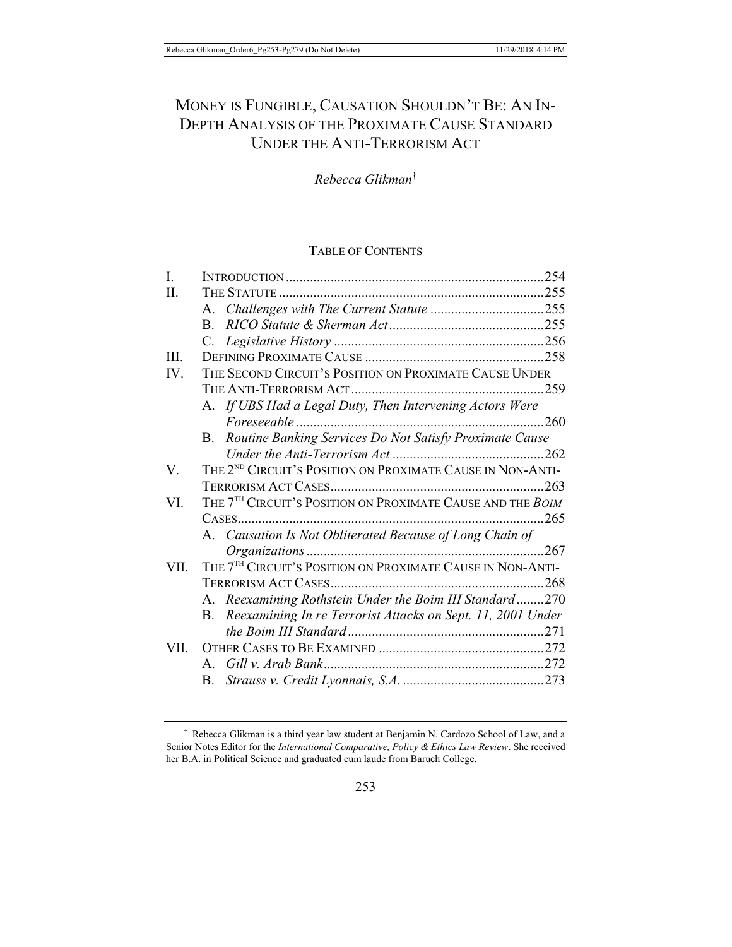# MONEY IS FUNGIBLE, CAUSATION SHOULDN'T BE: AN IN-DEPTH ANALYSIS OF THE PROXIMATE CAUSE STANDARD UNDER THE ANTI-TERRORISM ACT

*Rebecca Glikman*†

### TABLE OF CONTENTS

| I.   |                                                                        |       |  |
|------|------------------------------------------------------------------------|-------|--|
| II.  |                                                                        |       |  |
|      |                                                                        |       |  |
|      | $B_{\cdot}$                                                            |       |  |
|      |                                                                        |       |  |
| III. |                                                                        |       |  |
| IV.  | THE SECOND CIRCUIT'S POSITION ON PROXIMATE CAUSE UNDER                 |       |  |
|      |                                                                        |       |  |
|      | A. If UBS Had a Legal Duty, Then Intervening Actors Were               |       |  |
|      |                                                                        |       |  |
|      | B. Routine Banking Services Do Not Satisfy Proximate Cause             |       |  |
|      |                                                                        |       |  |
| V.   | THE 2 <sup>ND</sup> CIRCUIT'S POSITION ON PROXIMATE CAUSE IN NON-ANTI- |       |  |
|      |                                                                        |       |  |
| VI.  | THE 7 <sup>TH</sup> CIRCUIT'S POSITION ON PROXIMATE CAUSE AND THE BOIM |       |  |
|      |                                                                        |       |  |
|      | A. Causation Is Not Obliterated Because of Long Chain of               |       |  |
|      |                                                                        | . 267 |  |
| VII. | THE 7 <sup>TH</sup> CIRCUIT'S POSITION ON PROXIMATE CAUSE IN NON-ANTI- |       |  |
|      |                                                                        |       |  |
|      | A. Reexamining Rothstein Under the Boim III Standard270                |       |  |
|      | B. Reexamining In re Terrorist Attacks on Sept. 11, 2001 Under         |       |  |
|      |                                                                        |       |  |
| VII. |                                                                        |       |  |
|      |                                                                        |       |  |
|      |                                                                        |       |  |

<sup>†</sup> Rebecca Glikman is a third year law student at Benjamin N. Cardozo School of Law, and a Senior Notes Editor for the *International Comparative, Policy & Ethics Law Review*. She received her B.A. in Political Science and graduated cum laude from Baruch College.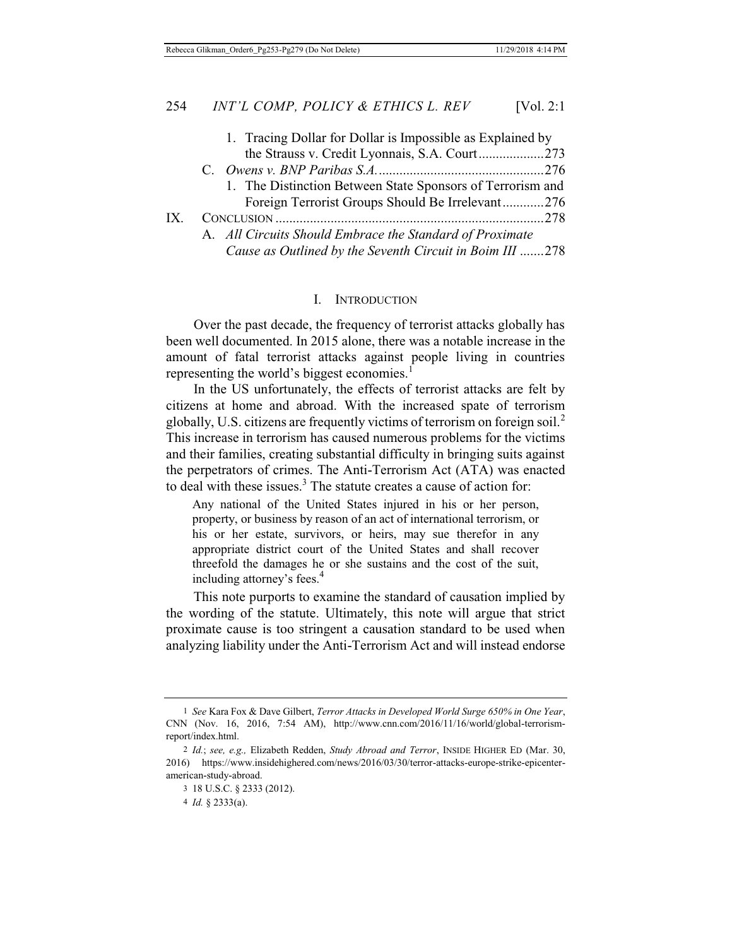|     | 1. Tracing Dollar for Dollar is Impossible as Explained by |  |
|-----|------------------------------------------------------------|--|
|     | the Strauss v. Credit Lyonnais, S.A. Court273              |  |
|     |                                                            |  |
|     | 1. The Distinction Between State Sponsors of Terrorism and |  |
|     | Foreign Terrorist Groups Should Be Irrelevant276           |  |
| IX. |                                                            |  |
|     | A. All Circuits Should Embrace the Standard of Proximate   |  |
|     | Cause as Outlined by the Seventh Circuit in Boim III 278   |  |

#### I. INTRODUCTION

Over the past decade, the frequency of terrorist attacks globally has been well documented. In 2015 alone, there was a notable increase in the amount of fatal terrorist attacks against people living in countries representing the world's biggest economies.<sup>1</sup>

In the US unfortunately, the effects of terrorist attacks are felt by citizens at home and abroad. With the increased spate of terrorism globally, U.S. citizens are frequently victims of terrorism on foreign soil.<sup>2</sup> This increase in terrorism has caused numerous problems for the victims and their families, creating substantial difficulty in bringing suits against the perpetrators of crimes. The Anti-Terrorism Act (ATA) was enacted to deal with these issues. $3$  The statute creates a cause of action for:

Any national of the United States injured in his or her person, property, or business by reason of an act of international terrorism, or his or her estate, survivors, or heirs, may sue therefor in any appropriate district court of the United States and shall recover threefold the damages he or she sustains and the cost of the suit, including attorney's fees.<sup>4</sup>

This note purports to examine the standard of causation implied by the wording of the statute. Ultimately, this note will argue that strict proximate cause is too stringent a causation standard to be used when analyzing liability under the Anti-Terrorism Act and will instead endorse

<sup>1</sup> *See* Kara Fox & Dave Gilbert, *Terror Attacks in Developed World Surge 650% in One Year*, CNN (Nov. 16, 2016, 7:54 AM), http://www.cnn.com/2016/11/16/world/global-terrorismreport/index.html.

<sup>2</sup> *Id.*; *see, e.g.,* Elizabeth Redden, *Study Abroad and Terror*, INSIDE HIGHER ED (Mar. 30, 2016) https://www.insidehighered.com/news/2016/03/30/terror-attacks-europe-strike-epicenteramerican-study-abroad.

<sup>3 18</sup> U.S.C. § 2333 (2012).

<sup>4</sup> *Id.* § 2333(a).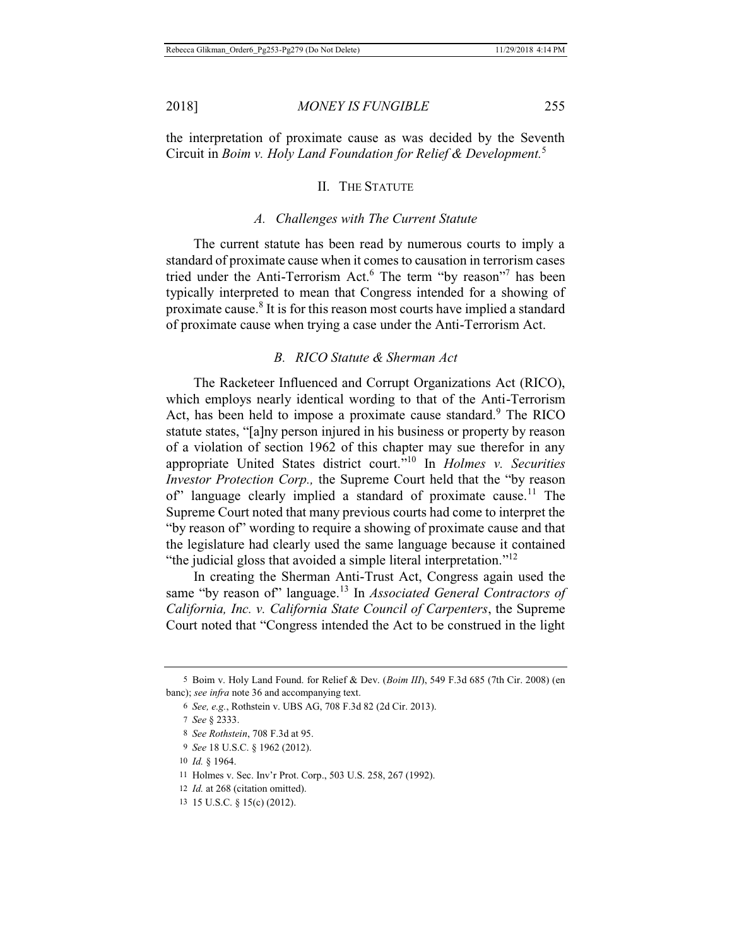the interpretation of proximate cause as was decided by the Seventh Circuit in *Boim v. Holy Land Foundation for Relief & Development.*<sup>5</sup>

### II. THE STATUTE

#### *A. Challenges with The Current Statute*

The current statute has been read by numerous courts to imply a standard of proximate cause when it comes to causation in terrorism cases tried under the Anti-Terrorism Act.<sup>6</sup> The term "by reason"<sup>7</sup> has been typically interpreted to mean that Congress intended for a showing of proximate cause.<sup>8</sup> It is for this reason most courts have implied a standard of proximate cause when trying a case under the Anti-Terrorism Act.

### *B. RICO Statute & Sherman Act*

The Racketeer Influenced and Corrupt Organizations Act (RICO), which employs nearly identical wording to that of the Anti-Terrorism Act, has been held to impose a proximate cause standard.<sup>9</sup> The RICO statute states, "[a]ny person injured in his business or property by reason of a violation of section 1962 of this chapter may sue therefor in any appropriate United States district court."10 In *Holmes v. Securities Investor Protection Corp.,* the Supreme Court held that the "by reason of" language clearly implied a standard of proximate cause.11 The Supreme Court noted that many previous courts had come to interpret the "by reason of" wording to require a showing of proximate cause and that the legislature had clearly used the same language because it contained "the judicial gloss that avoided a simple literal interpretation."<sup>12</sup>

In creating the Sherman Anti-Trust Act, Congress again used the same "by reason of" language.<sup>13</sup> In *Associated General Contractors of California, Inc. v. California State Council of Carpenters*, the Supreme Court noted that "Congress intended the Act to be construed in the light

<sup>5</sup> Boim v. Holy Land Found. for Relief & Dev. (*Boim III*), 549 F.3d 685 (7th Cir. 2008) (en banc); *see infra* note 36 and accompanying text.

<sup>6</sup> *See, e.g.*, Rothstein v. UBS AG, 708 F.3d 82 (2d Cir. 2013).

<sup>7</sup> *See* § 2333.

<sup>8</sup> *See Rothstein*, 708 F.3d at 95.

<sup>9</sup> *See* 18 U.S.C. § 1962 (2012).

<sup>10</sup> *Id.* § 1964.

<sup>11</sup> Holmes v. Sec. Inv'r Prot. Corp., 503 U.S. 258, 267 (1992).

<sup>12</sup> *Id.* at 268 (citation omitted).

<sup>13 15</sup> U.S.C. § 15(c) (2012).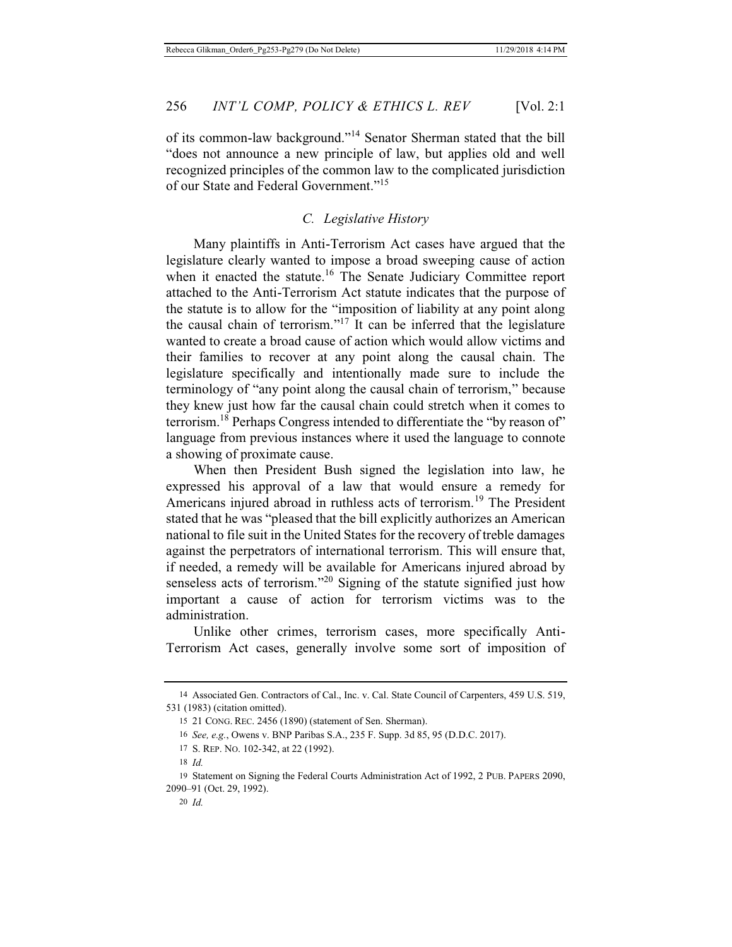of its common-law background."14 Senator Sherman stated that the bill "does not announce a new principle of law, but applies old and well recognized principles of the common law to the complicated jurisdiction of our State and Federal Government."<sup>15</sup>

### *C. Legislative History*

Many plaintiffs in Anti-Terrorism Act cases have argued that the legislature clearly wanted to impose a broad sweeping cause of action when it enacted the statute.<sup>16</sup> The Senate Judiciary Committee report attached to the Anti-Terrorism Act statute indicates that the purpose of the statute is to allow for the "imposition of liability at any point along the causal chain of terrorism."17 It can be inferred that the legislature wanted to create a broad cause of action which would allow victims and their families to recover at any point along the causal chain. The legislature specifically and intentionally made sure to include the terminology of "any point along the causal chain of terrorism," because they knew just how far the causal chain could stretch when it comes to terrorism.<sup>18</sup> Perhaps Congress intended to differentiate the "by reason of" language from previous instances where it used the language to connote a showing of proximate cause.

When then President Bush signed the legislation into law, he expressed his approval of a law that would ensure a remedy for Americans injured abroad in ruthless acts of terrorism.<sup>19</sup> The President stated that he was "pleased that the bill explicitly authorizes an American national to file suit in the United States for the recovery of treble damages against the perpetrators of international terrorism. This will ensure that, if needed, a remedy will be available for Americans injured abroad by senseless acts of terrorism."<sup>20</sup> Signing of the statute signified just how important a cause of action for terrorism victims was to the administration.

Unlike other crimes, terrorism cases, more specifically Anti-Terrorism Act cases, generally involve some sort of imposition of

<sup>14</sup> Associated Gen. Contractors of Cal., Inc. v. Cal. State Council of Carpenters, 459 U.S. 519, 531 (1983) (citation omitted).

<sup>15 21</sup> CONG. REC. 2456 (1890) (statement of Sen. Sherman).

<sup>16</sup> *See, e.g.*, Owens v. BNP Paribas S.A., 235 F. Supp. 3d 85, 95 (D.D.C. 2017).

<sup>17</sup> S. REP. NO. 102-342, at 22 (1992).

<sup>18</sup> *Id.*

<sup>19</sup> Statement on Signing the Federal Courts Administration Act of 1992, 2 PUB. PAPERS 2090, 2090–91 (Oct. 29, 1992).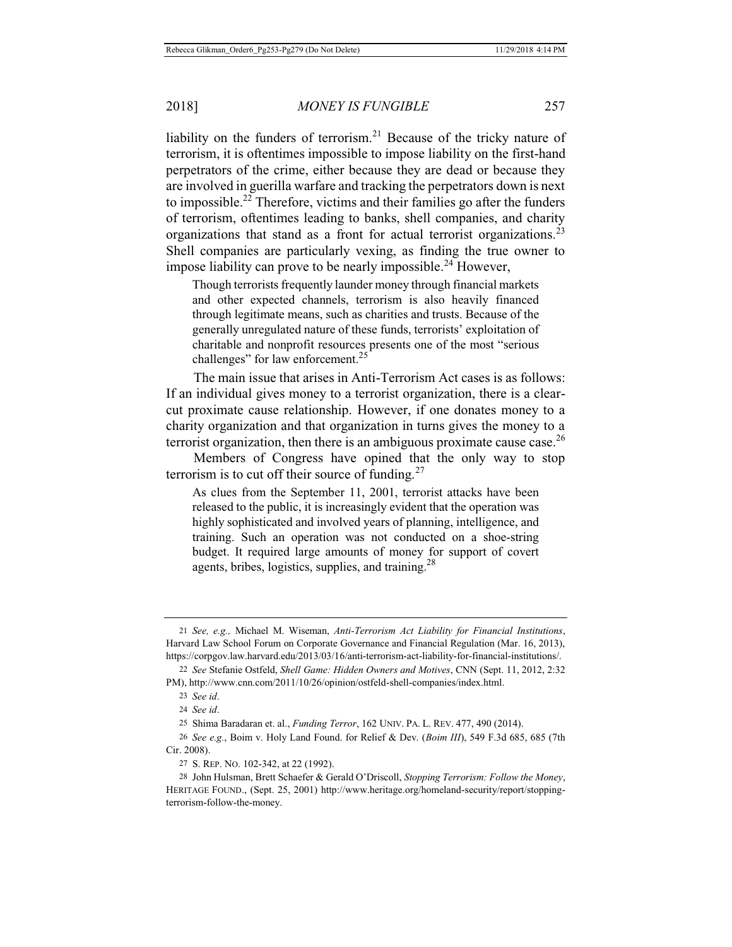liability on the funders of terrorism.<sup>21</sup> Because of the tricky nature of terrorism, it is oftentimes impossible to impose liability on the first-hand perpetrators of the crime, either because they are dead or because they are involved in guerilla warfare and tracking the perpetrators down is next to impossible.22 Therefore, victims and their families go after the funders of terrorism, oftentimes leading to banks, shell companies, and charity organizations that stand as a front for actual terrorist organizations.<sup>23</sup> Shell companies are particularly vexing, as finding the true owner to impose liability can prove to be nearly impossible.<sup>24</sup> However,

Though terrorists frequently launder money through financial markets and other expected channels, terrorism is also heavily financed through legitimate means, such as charities and trusts. Because of the generally unregulated nature of these funds, terrorists' exploitation of charitable and nonprofit resources presents one of the most "serious challenges" for law enforcement.<sup>25</sup>

The main issue that arises in Anti-Terrorism Act cases is as follows: If an individual gives money to a terrorist organization, there is a clearcut proximate cause relationship. However, if one donates money to a charity organization and that organization in turns gives the money to a terrorist organization, then there is an ambiguous proximate cause case.<sup>26</sup>

Members of Congress have opined that the only way to stop terrorism is to cut off their source of funding. $27$ 

As clues from the September 11, 2001, terrorist attacks have been released to the public, it is increasingly evident that the operation was highly sophisticated and involved years of planning, intelligence, and training. Such an operation was not conducted on a shoe-string budget. It required large amounts of money for support of covert agents, bribes, logistics, supplies, and training. $28$ 

27 S. REP. NO. 102-342, at 22 (1992).

<sup>21</sup> *See, e.g.,* Michael M. Wiseman, *Anti-Terrorism Act Liability for Financial Institutions*, Harvard Law School Forum on Corporate Governance and Financial Regulation (Mar. 16, 2013), https://corpgov.law.harvard.edu/2013/03/16/anti-terrorism-act-liability-for-financial-institutions/.

<sup>22</sup> *See* Stefanie Ostfeld, *Shell Game: Hidden Owners and Motives*, CNN (Sept. 11, 2012, 2:32 PM), http://www.cnn.com/2011/10/26/opinion/ostfeld-shell-companies/index.html.

<sup>23</sup> *See id*.

<sup>24</sup> *See id*.

<sup>25</sup> Shima Baradaran et. al., *Funding Terror*, 162 UNIV. PA. L. REV. 477, 490 (2014).

<sup>26</sup> *See e.g.*, Boim v. Holy Land Found. for Relief & Dev. (*Boim III*), 549 F.3d 685, 685 (7th Cir. 2008).

<sup>28</sup> John Hulsman, Brett Schaefer & Gerald O'Driscoll, *Stopping Terrorism: Follow the Money*, HERITAGE FOUND., (Sept. 25, 2001) http://www.heritage.org/homeland-security/report/stoppingterrorism-follow-the-money.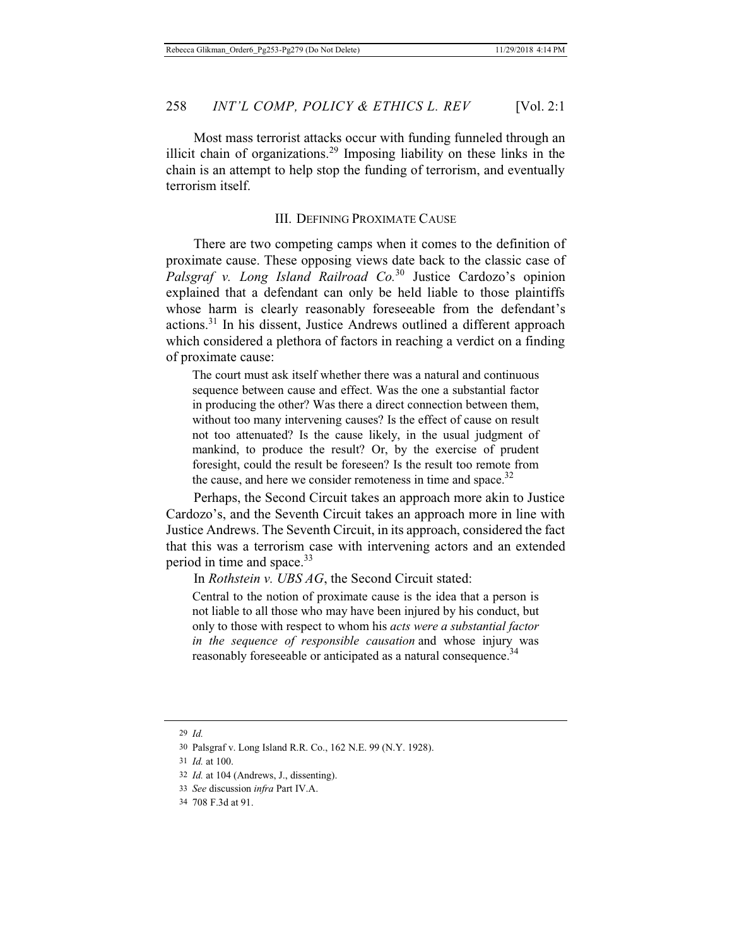Most mass terrorist attacks occur with funding funneled through an illicit chain of organizations.<sup>29</sup> Imposing liability on these links in the chain is an attempt to help stop the funding of terrorism, and eventually terrorism itself.

### III. DEFINING PROXIMATE CAUSE

There are two competing camps when it comes to the definition of proximate cause. These opposing views date back to the classic case of *Palsgraf v. Long Island Railroad Co.*<sup>30</sup> Justice Cardozo's opinion explained that a defendant can only be held liable to those plaintiffs whose harm is clearly reasonably foreseeable from the defendant's actions.31 In his dissent, Justice Andrews outlined a different approach which considered a plethora of factors in reaching a verdict on a finding of proximate cause:

The court must ask itself whether there was a natural and continuous sequence between cause and effect. Was the one a substantial factor in producing the other? Was there a direct connection between them, without too many intervening causes? Is the effect of cause on result not too attenuated? Is the cause likely, in the usual judgment of mankind, to produce the result? Or, by the exercise of prudent foresight, could the result be foreseen? Is the result too remote from the cause, and here we consider remoteness in time and space.<sup>32</sup>

Perhaps, the Second Circuit takes an approach more akin to Justice Cardozo's, and the Seventh Circuit takes an approach more in line with Justice Andrews. The Seventh Circuit, in its approach, considered the fact that this was a terrorism case with intervening actors and an extended period in time and space.<sup>33</sup>

In *Rothstein v. UBS AG*, the Second Circuit stated:

Central to the notion of proximate cause is the idea that a person is not liable to all those who may have been injured by his conduct, but only to those with respect to whom his *acts were a substantial factor in the sequence of responsible causation* and whose injury was reasonably foreseeable or anticipated as a natural consequence.<sup>34</sup>

29 *Id.*

- 32 *Id.* at 104 (Andrews, J., dissenting).
- 33 *See* discussion *infra* Part IV.A.

<sup>30</sup> Palsgraf v. Long Island R.R. Co., 162 N.E. 99 (N.Y. 1928).

<sup>31</sup> *Id.* at 100.

<sup>34 708</sup> F.3d at 91.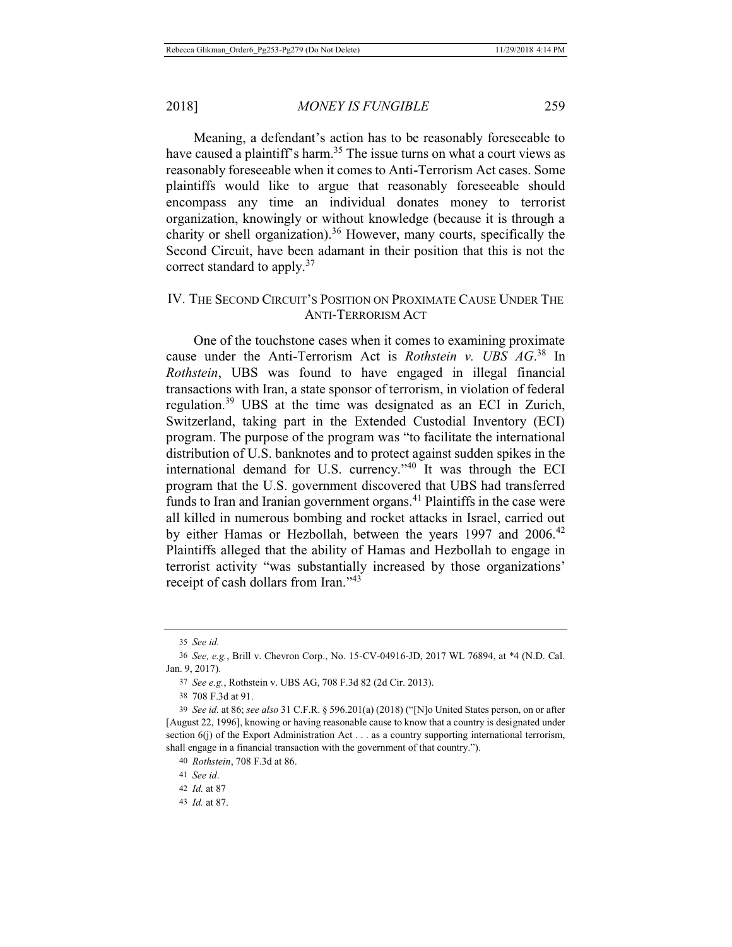Meaning, a defendant's action has to be reasonably foreseeable to have caused a plaintiff's harm.<sup>35</sup> The issue turns on what a court views as reasonably foreseeable when it comes to Anti-Terrorism Act cases. Some plaintiffs would like to argue that reasonably foreseeable should encompass any time an individual donates money to terrorist organization, knowingly or without knowledge (because it is through a charity or shell organization).36 However, many courts, specifically the Second Circuit, have been adamant in their position that this is not the correct standard to apply.<sup>37</sup>

### IV. THE SECOND CIRCUIT'S POSITION ON PROXIMATE CAUSE UNDER THE ANTI-TERRORISM ACT

One of the touchstone cases when it comes to examining proximate cause under the Anti-Terrorism Act is *Rothstein v. UBS AG*. 38 In *Rothstein*, UBS was found to have engaged in illegal financial transactions with Iran, a state sponsor of terrorism, in violation of federal regulation.39 UBS at the time was designated as an ECI in Zurich, Switzerland, taking part in the Extended Custodial Inventory (ECI) program. The purpose of the program was "to facilitate the international distribution of U.S. banknotes and to protect against sudden spikes in the international demand for U.S. currency."40 It was through the ECI program that the U.S. government discovered that UBS had transferred funds to Iran and Iranian government organs.<sup>41</sup> Plaintiffs in the case were all killed in numerous bombing and rocket attacks in Israel, carried out by either Hamas or Hezbollah, between the years 1997 and  $2006$ <sup>42</sup> Plaintiffs alleged that the ability of Hamas and Hezbollah to engage in terrorist activity "was substantially increased by those organizations' receipt of cash dollars from Iran."<sup>43</sup>

37 *See e.g.*, Rothstein v. UBS AG, 708 F.3d 82 (2d Cir. 2013).

38 708 F.3d at 91.

<sup>35</sup> *See id.*

<sup>36</sup> *See, e.g.*, Brill v. Chevron Corp., No. 15-CV-04916-JD, 2017 WL 76894, at \*4 (N.D. Cal. Jan. 9, 2017).

<sup>39</sup> *See id.* at 86; *see also* 31 C.F.R. § 596.201(a) (2018) ("[N]o United States person, on or after [August 22, 1996], knowing or having reasonable cause to know that a country is designated under section 6(j) of the Export Administration Act . . . as a country supporting international terrorism, shall engage in a financial transaction with the government of that country.").

<sup>40</sup> *Rothstein*, 708 F.3d at 86.

<sup>41</sup> *See id*.

<sup>42</sup> *Id.* at 87

<sup>43</sup> *Id.* at 87.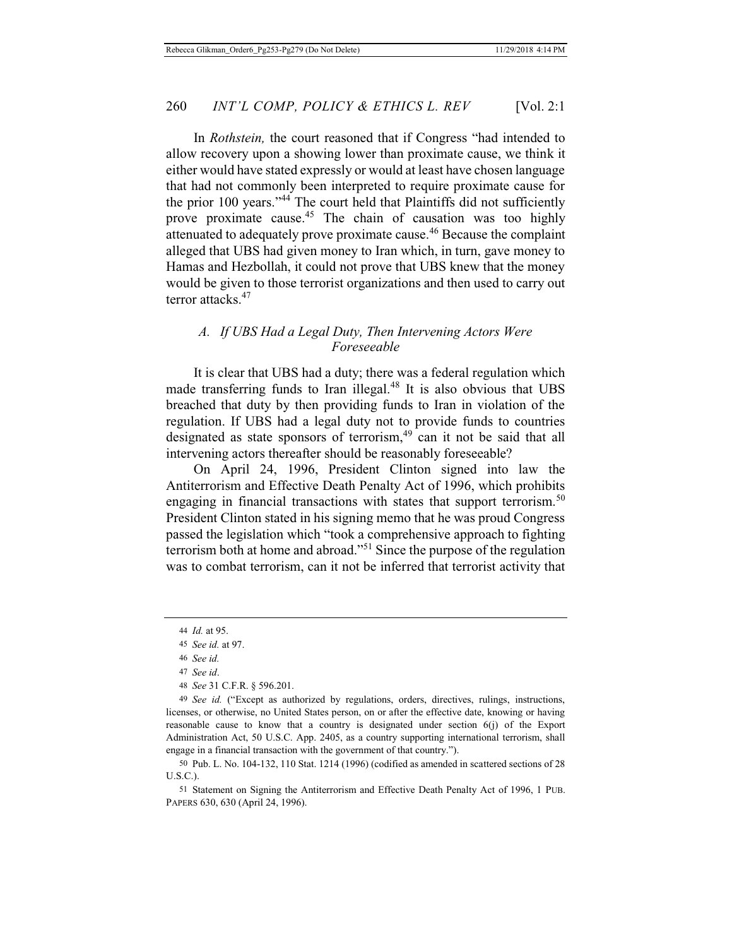In *Rothstein,* the court reasoned that if Congress "had intended to allow recovery upon a showing lower than proximate cause, we think it either would have stated expressly or would at least have chosen language that had not commonly been interpreted to require proximate cause for the prior 100 years."<sup>44</sup> The court held that Plaintiffs did not sufficiently prove proximate cause.<sup>45</sup> The chain of causation was too highly attenuated to adequately prove proximate cause.<sup>46</sup> Because the complaint alleged that UBS had given money to Iran which, in turn, gave money to Hamas and Hezbollah, it could not prove that UBS knew that the money would be given to those terrorist organizations and then used to carry out terror attacks.<sup>47</sup>

### *A. If UBS Had a Legal Duty, Then Intervening Actors Were Foreseeable*

It is clear that UBS had a duty; there was a federal regulation which made transferring funds to Iran illegal.<sup>48</sup> It is also obvious that UBS breached that duty by then providing funds to Iran in violation of the regulation. If UBS had a legal duty not to provide funds to countries designated as state sponsors of terrorism,<sup>49</sup> can it not be said that all intervening actors thereafter should be reasonably foreseeable?

On April 24, 1996, President Clinton signed into law the Antiterrorism and Effective Death Penalty Act of 1996, which prohibits engaging in financial transactions with states that support terrorism.<sup>50</sup> President Clinton stated in his signing memo that he was proud Congress passed the legislation which "took a comprehensive approach to fighting terrorism both at home and abroad."51 Since the purpose of the regulation was to combat terrorism, can it not be inferred that terrorist activity that

<sup>44</sup> *Id.* at 95.

<sup>45</sup> *See id.* at 97.

<sup>46</sup> *See id.*

<sup>47</sup> *See id*.

<sup>48</sup> *See* 31 C.F.R. § 596.201.

<sup>49</sup> *See id.* ("Except as authorized by regulations, orders, directives, rulings, instructions, licenses, or otherwise, no United States person, on or after the effective date, knowing or having reasonable cause to know that a country is designated under section 6(j) of the Export Administration Act, 50 U.S.C. App. 2405, as a country supporting international terrorism, shall engage in a financial transaction with the government of that country.").

<sup>50</sup> Pub. L. No. 104-132, 110 Stat. 1214 (1996) (codified as amended in scattered sections of 28 U.S.C.).

<sup>51</sup> Statement on Signing the Antiterrorism and Effective Death Penalty Act of 1996, 1 PUB. PAPERS 630, 630 (April 24, 1996).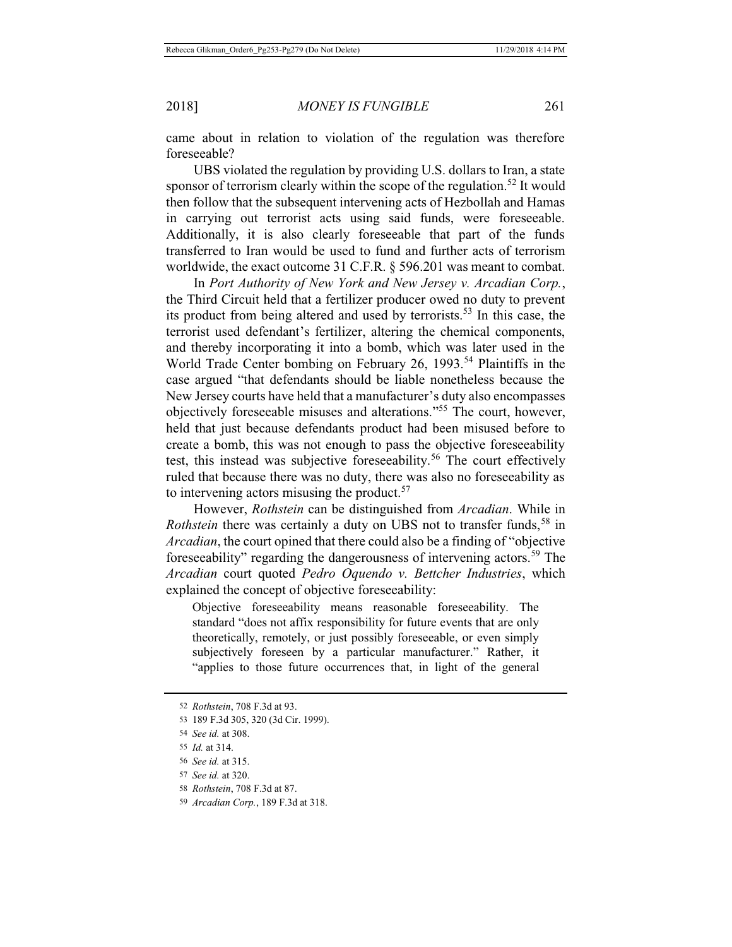came about in relation to violation of the regulation was therefore foreseeable?

UBS violated the regulation by providing U.S. dollars to Iran, a state sponsor of terrorism clearly within the scope of the regulation.<sup>52</sup> It would then follow that the subsequent intervening acts of Hezbollah and Hamas in carrying out terrorist acts using said funds, were foreseeable. Additionally, it is also clearly foreseeable that part of the funds transferred to Iran would be used to fund and further acts of terrorism worldwide, the exact outcome 31 C.F.R. § 596.201 was meant to combat.

In *Port Authority of New York and New Jersey v. Arcadian Corp.*, the Third Circuit held that a fertilizer producer owed no duty to prevent its product from being altered and used by terrorists.53 In this case, the terrorist used defendant's fertilizer, altering the chemical components, and thereby incorporating it into a bomb, which was later used in the World Trade Center bombing on February 26, 1993.<sup>54</sup> Plaintiffs in the case argued "that defendants should be liable nonetheless because the New Jersey courts have held that a manufacturer's duty also encompasses objectively foreseeable misuses and alterations."55 The court, however, held that just because defendants product had been misused before to create a bomb, this was not enough to pass the objective foreseeability test, this instead was subjective foreseeability.<sup>56</sup> The court effectively ruled that because there was no duty, there was also no foreseeability as to intervening actors misusing the product.<sup>57</sup>

However, *Rothstein* can be distinguished from *Arcadian*. While in *Rothstein* there was certainly a duty on UBS not to transfer funds,<sup>58</sup> in *Arcadian*, the court opined that there could also be a finding of "objective foreseeability" regarding the dangerousness of intervening actors.<sup>59</sup> The *Arcadian* court quoted *Pedro Oquendo v. Bettcher Industries*, which explained the concept of objective foreseeability:

Objective foreseeability means reasonable foreseeability. The standard "does not affix responsibility for future events that are only theoretically, remotely, or just possibly foreseeable, or even simply subjectively foreseen by a particular manufacturer." Rather, it "applies to those future occurrences that, in light of the general

<sup>52</sup> *Rothstein*, 708 F.3d at 93.

<sup>53 189</sup> F.3d 305, 320 (3d Cir. 1999).

<sup>54</sup> *See id.* at 308.

<sup>55</sup> *Id.* at 314.

<sup>56</sup> *See id.* at 315.

<sup>57</sup> *See id.* at 320.

<sup>58</sup> *Rothstein*, 708 F.3d at 87.

<sup>59</sup> *Arcadian Corp.*, 189 F.3d at 318.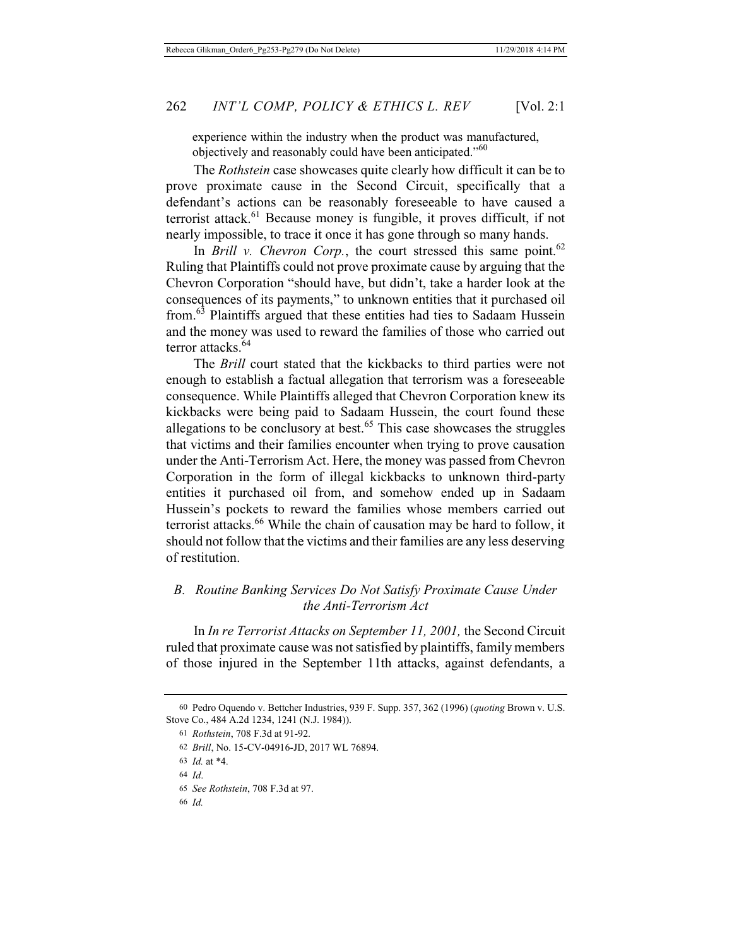experience within the industry when the product was manufactured, objectively and reasonably could have been anticipated."<sup>60</sup>

The *Rothstein* case showcases quite clearly how difficult it can be to prove proximate cause in the Second Circuit, specifically that a defendant's actions can be reasonably foreseeable to have caused a terrorist attack.<sup>61</sup> Because money is fungible, it proves difficult, if not nearly impossible, to trace it once it has gone through so many hands.

In *Brill v. Chevron Corp.*, the court stressed this same point.<sup>62</sup> Ruling that Plaintiffs could not prove proximate cause by arguing that the Chevron Corporation "should have, but didn't, take a harder look at the consequences of its payments," to unknown entities that it purchased oil from.63 Plaintiffs argued that these entities had ties to Sadaam Hussein and the money was used to reward the families of those who carried out terror attacks.<sup>64</sup>

The *Brill* court stated that the kickbacks to third parties were not enough to establish a factual allegation that terrorism was a foreseeable consequence. While Plaintiffs alleged that Chevron Corporation knew its kickbacks were being paid to Sadaam Hussein, the court found these allegations to be conclusory at best.<sup>65</sup> This case showcases the struggles that victims and their families encounter when trying to prove causation under the Anti-Terrorism Act. Here, the money was passed from Chevron Corporation in the form of illegal kickbacks to unknown third-party entities it purchased oil from, and somehow ended up in Sadaam Hussein's pockets to reward the families whose members carried out terrorist attacks.<sup>66</sup> While the chain of causation may be hard to follow, it should not follow that the victims and their families are any less deserving of restitution.

### *B. Routine Banking Services Do Not Satisfy Proximate Cause Under the Anti-Terrorism Act*

In *In re Terrorist Attacks on September 11, 2001,* the Second Circuit ruled that proximate cause was not satisfied by plaintiffs, family members of those injured in the September 11th attacks, against defendants, a

<sup>60</sup> Pedro Oquendo v. Bettcher Industries, 939 F. Supp. 357, 362 (1996) (*quoting* Brown v. U.S. Stove Co., 484 A.2d 1234, 1241 (N.J. 1984)).

<sup>61</sup> *Rothstein*, 708 F.3d at 91-92.

<sup>62</sup> *Brill*, No. 15-CV-04916-JD, 2017 WL 76894.

<sup>63</sup> *Id.* at \*4.

<sup>64</sup> *Id*.

<sup>65</sup> *See Rothstein*, 708 F.3d at 97.

<sup>66</sup> *Id.*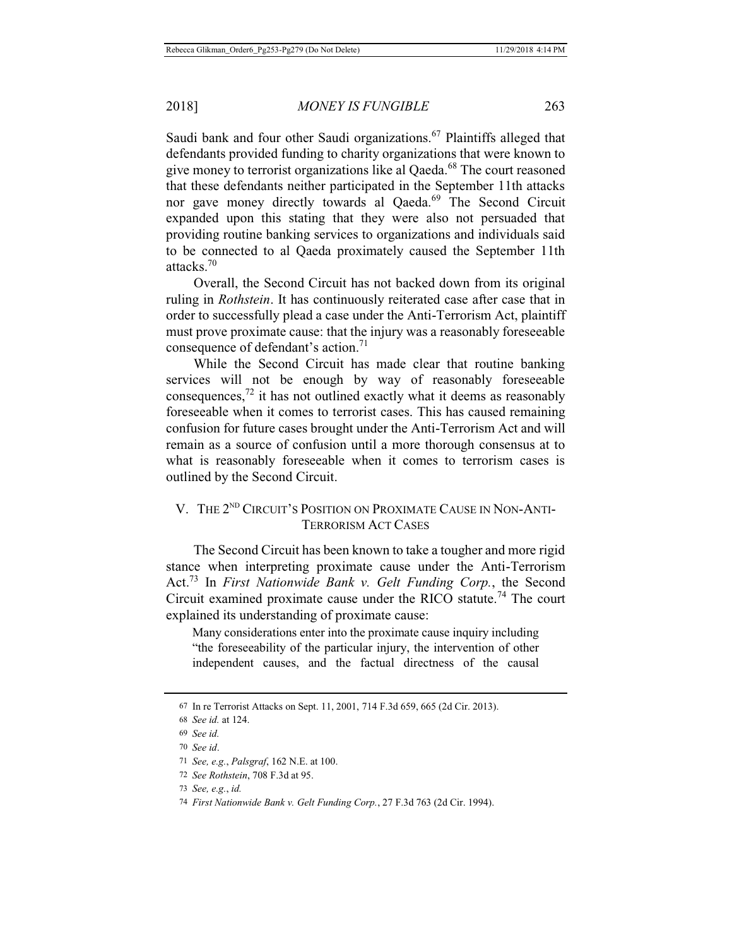Saudi bank and four other Saudi organizations.<sup>67</sup> Plaintiffs alleged that defendants provided funding to charity organizations that were known to give money to terrorist organizations like al Qaeda.<sup>68</sup> The court reasoned that these defendants neither participated in the September 11th attacks nor gave money directly towards al Qaeda.<sup>69</sup> The Second Circuit expanded upon this stating that they were also not persuaded that providing routine banking services to organizations and individuals said to be connected to al Qaeda proximately caused the September 11th attacks.70

Overall, the Second Circuit has not backed down from its original ruling in *Rothstein*. It has continuously reiterated case after case that in order to successfully plead a case under the Anti-Terrorism Act, plaintiff must prove proximate cause: that the injury was a reasonably foreseeable consequence of defendant's action.<sup>71</sup>

While the Second Circuit has made clear that routine banking services will not be enough by way of reasonably foreseeable consequences, $72$  it has not outlined exactly what it deems as reasonably foreseeable when it comes to terrorist cases. This has caused remaining confusion for future cases brought under the Anti-Terrorism Act and will remain as a source of confusion until a more thorough consensus at to what is reasonably foreseeable when it comes to terrorism cases is outlined by the Second Circuit.

## V. THE 2<sup>ND</sup> CIRCUIT'S POSITION ON PROXIMATE CAUSE IN NON-ANTI-TERRORISM ACT CASES

The Second Circuit has been known to take a tougher and more rigid stance when interpreting proximate cause under the Anti-Terrorism Act.73 In *First Nationwide Bank v. Gelt Funding Corp.*, the Second Circuit examined proximate cause under the RICO statute.<sup>74</sup> The court explained its understanding of proximate cause:

Many considerations enter into the proximate cause inquiry including "the foreseeability of the particular injury, the intervention of other independent causes, and the factual directness of the causal

<sup>67</sup> In re Terrorist Attacks on Sept. 11, 2001, 714 F.3d 659, 665 (2d Cir. 2013).

<sup>68</sup> *See id.* at 124.

<sup>69</sup> *See id.*

<sup>70</sup> *See id*.

<sup>71</sup> *See, e.g.*, *Palsgraf*, 162 N.E. at 100.

<sup>72</sup> *See Rothstein*, 708 F.3d at 95.

<sup>73</sup> *See, e.g.*, *id.*

<sup>74</sup> *First Nationwide Bank v. Gelt Funding Corp.*, 27 F.3d 763 (2d Cir. 1994).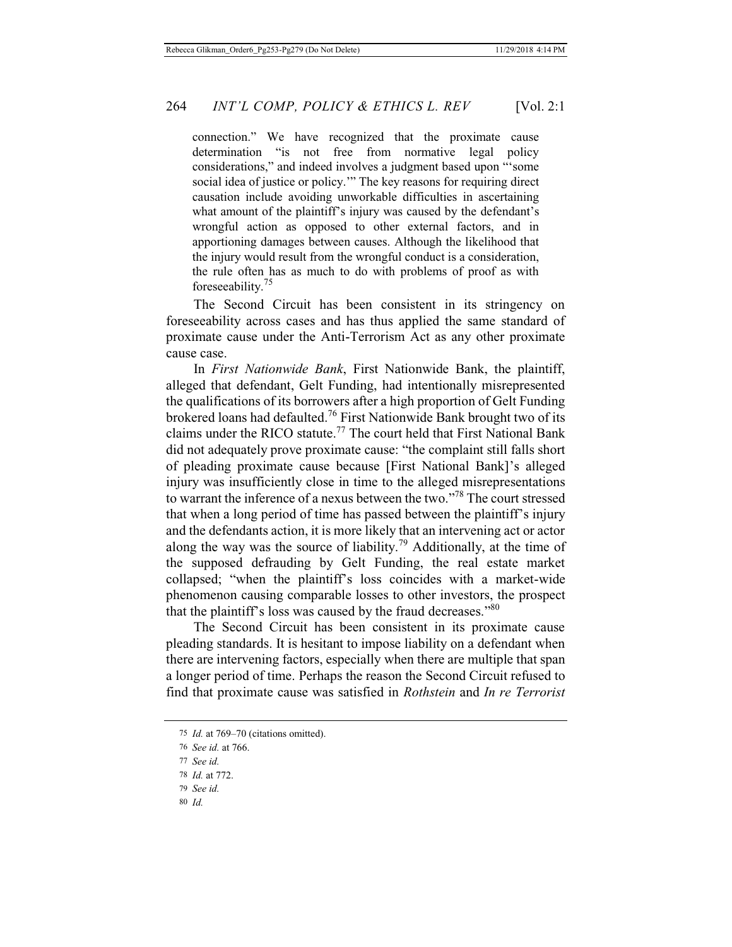connection." We have recognized that the proximate cause determination "is not free from normative legal policy considerations," and indeed involves a judgment based upon "'some social idea of justice or policy.'" The key reasons for requiring direct causation include avoiding unworkable difficulties in ascertaining what amount of the plaintiff's injury was caused by the defendant's wrongful action as opposed to other external factors, and in apportioning damages between causes. Although the likelihood that the injury would result from the wrongful conduct is a consideration, the rule often has as much to do with problems of proof as with foreseeability.<sup>75</sup>

The Second Circuit has been consistent in its stringency on foreseeability across cases and has thus applied the same standard of proximate cause under the Anti-Terrorism Act as any other proximate cause case.

In *First Nationwide Bank*, First Nationwide Bank, the plaintiff, alleged that defendant, Gelt Funding, had intentionally misrepresented the qualifications of its borrowers after a high proportion of Gelt Funding brokered loans had defaulted.76 First Nationwide Bank brought two of its claims under the RICO statute.<sup>77</sup> The court held that First National Bank did not adequately prove proximate cause: "the complaint still falls short of pleading proximate cause because [First National Bank]'s alleged injury was insufficiently close in time to the alleged misrepresentations to warrant the inference of a nexus between the two."78 The court stressed that when a long period of time has passed between the plaintiff's injury and the defendants action, it is more likely that an intervening act or actor along the way was the source of liability.<sup>79</sup> Additionally, at the time of the supposed defrauding by Gelt Funding, the real estate market collapsed; "when the plaintiff's loss coincides with a market-wide phenomenon causing comparable losses to other investors, the prospect that the plaintiff's loss was caused by the fraud decreases."<sup>80</sup>

The Second Circuit has been consistent in its proximate cause pleading standards. It is hesitant to impose liability on a defendant when there are intervening factors, especially when there are multiple that span a longer period of time. Perhaps the reason the Second Circuit refused to find that proximate cause was satisfied in *Rothstein* and *In re Terrorist* 

- 79 *See id.*
- 80 *Id.*

<sup>75</sup> *Id.* at 769–70 (citations omitted).

<sup>76</sup> *See id.* at 766.

<sup>77</sup> *See id.*

<sup>78</sup> *Id.* at 772.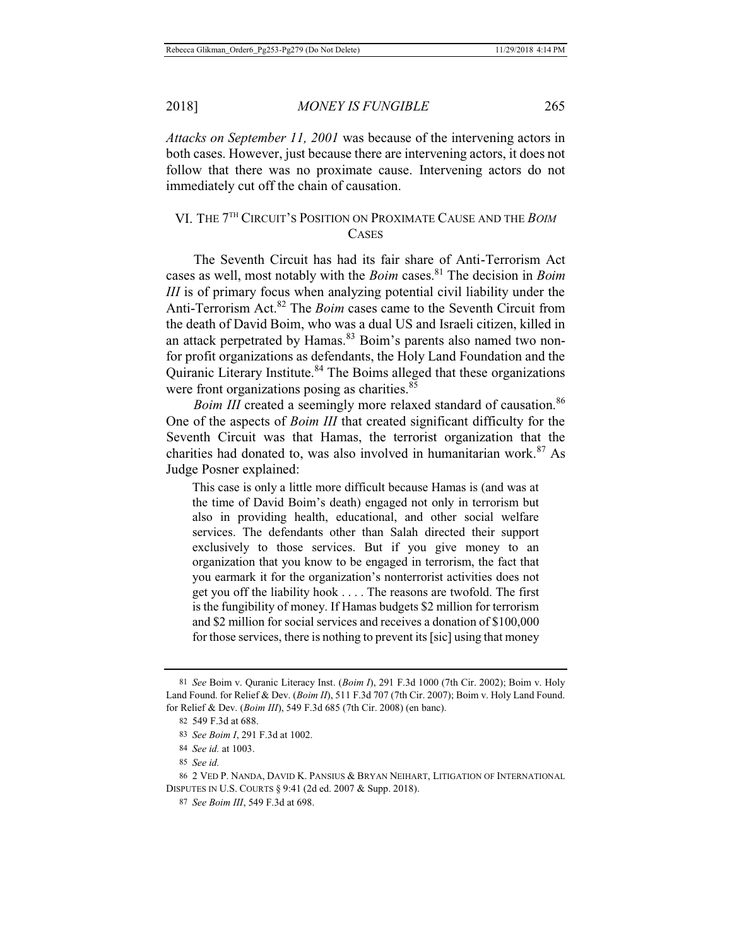*Attacks on September 11, 2001* was because of the intervening actors in both cases. However, just because there are intervening actors, it does not follow that there was no proximate cause. Intervening actors do not immediately cut off the chain of causation.

## VI. THE 7TH CIRCUIT'S POSITION ON PROXIMATE CAUSE AND THE *BOIM* **CASES**

The Seventh Circuit has had its fair share of Anti-Terrorism Act cases as well, most notably with the *Boim* cases.<sup>81</sup> The decision in *Boim III* is of primary focus when analyzing potential civil liability under the Anti-Terrorism Act.82 The *Boim* cases came to the Seventh Circuit from the death of David Boim, who was a dual US and Israeli citizen, killed in an attack perpetrated by Hamas.<sup>83</sup> Boim's parents also named two nonfor profit organizations as defendants, the Holy Land Foundation and the Quiranic Literary Institute.<sup>84</sup> The Boims alleged that these organizations were front organizations posing as charities.<sup>85</sup>

*Boim III* created a seemingly more relaxed standard of causation.<sup>86</sup> One of the aspects of *Boim III* that created significant difficulty for the Seventh Circuit was that Hamas, the terrorist organization that the charities had donated to, was also involved in humanitarian work. $87$  As Judge Posner explained:

This case is only a little more difficult because Hamas is (and was at the time of David Boim's death) engaged not only in terrorism but also in providing health, educational, and other social welfare services. The defendants other than Salah directed their support exclusively to those services. But if you give money to an organization that you know to be engaged in terrorism, the fact that you earmark it for the organization's nonterrorist activities does not get you off the liability hook . . . . The reasons are twofold. The first is the fungibility of money. If Hamas budgets \$2 million for terrorism and \$2 million for social services and receives a donation of \$100,000 for those services, there is nothing to prevent its [sic] using that money

<sup>81</sup> *See* Boim v. Quranic Literacy Inst. (*Boim I*), 291 F.3d 1000 (7th Cir. 2002); Boim v. Holy Land Found. for Relief & Dev. (*Boim II*), 511 F.3d 707 (7th Cir. 2007); Boim v. Holy Land Found. for Relief & Dev. (*Boim III*), 549 F.3d 685 (7th Cir. 2008) (en banc).

<sup>82 549</sup> F.3d at 688.

<sup>83</sup> *See Boim I*, 291 F.3d at 1002.

<sup>84</sup> *See id.* at 1003.

<sup>85</sup> *See id.*

<sup>86 2</sup> VED P. NANDA, DAVID K. PANSIUS & BRYAN NEIHART, LITIGATION OF INTERNATIONAL DISPUTES IN U.S. COURTS § 9:41 (2d ed. 2007 & Supp. 2018).

<sup>87</sup> *See Boim III*, 549 F.3d at 698.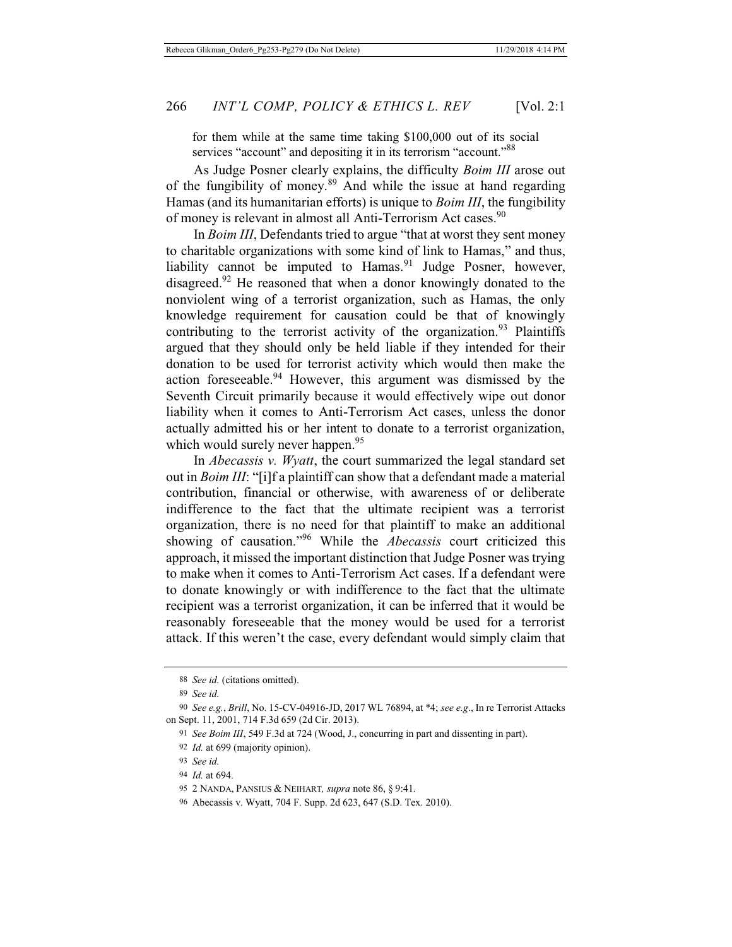for them while at the same time taking \$100,000 out of its social services "account" and depositing it in its terrorism "account."<sup>88</sup>

As Judge Posner clearly explains, the difficulty *Boim III* arose out of the fungibility of money.89 And while the issue at hand regarding Hamas (and its humanitarian efforts) is unique to *Boim III*, the fungibility of money is relevant in almost all Anti-Terrorism Act cases.<sup>90</sup>

In *Boim III*, Defendants tried to argue "that at worst they sent money to charitable organizations with some kind of link to Hamas," and thus, liability cannot be imputed to Hamas.<sup>91</sup> Judge Posner, however, disagreed.<sup>92</sup> He reasoned that when a donor knowingly donated to the nonviolent wing of a terrorist organization, such as Hamas, the only knowledge requirement for causation could be that of knowingly contributing to the terrorist activity of the organization.<sup>93</sup> Plaintiffs argued that they should only be held liable if they intended for their donation to be used for terrorist activity which would then make the action foreseeable. $94$  However, this argument was dismissed by the Seventh Circuit primarily because it would effectively wipe out donor liability when it comes to Anti-Terrorism Act cases, unless the donor actually admitted his or her intent to donate to a terrorist organization, which would surely never happen.<sup>95</sup>

In *Abecassis v. Wyatt*, the court summarized the legal standard set out in *Boim III*: "[i]f a plaintiff can show that a defendant made a material contribution, financial or otherwise, with awareness of or deliberate indifference to the fact that the ultimate recipient was a terrorist organization, there is no need for that plaintiff to make an additional showing of causation."96 While the *Abecassis* court criticized this approach, it missed the important distinction that Judge Posner was trying to make when it comes to Anti-Terrorism Act cases. If a defendant were to donate knowingly or with indifference to the fact that the ultimate recipient was a terrorist organization, it can be inferred that it would be reasonably foreseeable that the money would be used for a terrorist attack. If this weren't the case, every defendant would simply claim that

<sup>88</sup> *See id.* (citations omitted).

<sup>89</sup> *See id.*

<sup>90</sup> *See e.g.*, *Brill*, No. 15-CV-04916-JD, 2017 WL 76894, at \*4; *see e.g*., In re Terrorist Attacks on Sept. 11, 2001, 714 F.3d 659 (2d Cir. 2013).

<sup>91</sup> *See Boim III*, 549 F.3d at 724 (Wood, J., concurring in part and dissenting in part).

<sup>92</sup> *Id.* at 699 (majority opinion).

<sup>93</sup> *See id.*

<sup>94</sup> *Id.* at 694.

<sup>95 2</sup> NANDA, PANSIUS & NEIHART*, supra* note 86, § 9:41*.*

<sup>96</sup> Abecassis v. Wyatt, 704 F. Supp. 2d 623, 647 (S.D. Tex. 2010).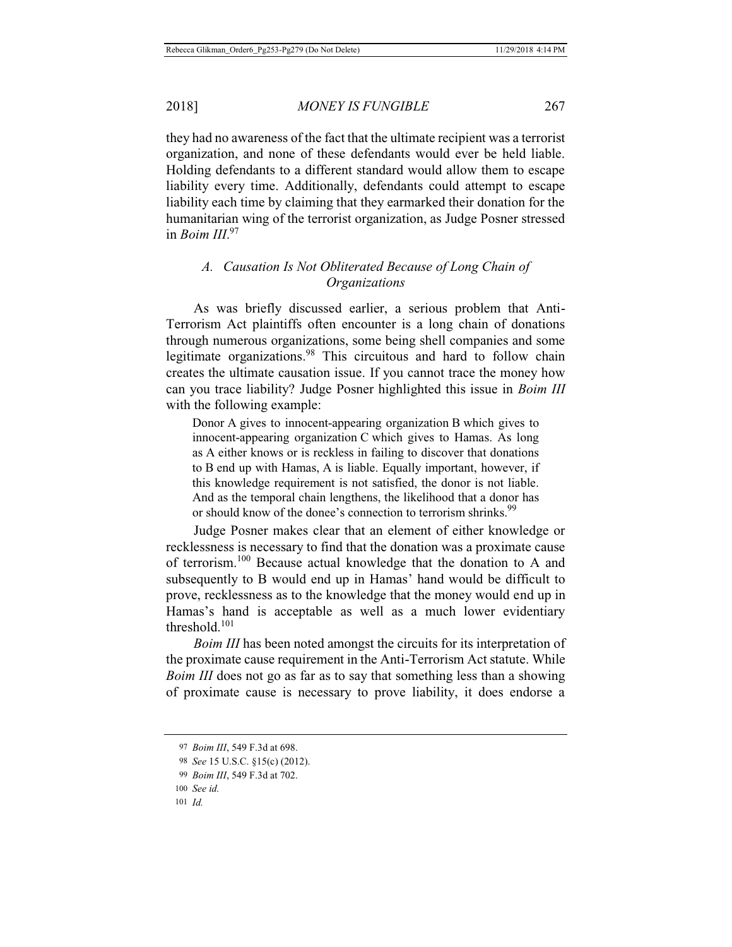they had no awareness of the fact that the ultimate recipient was a terrorist organization, and none of these defendants would ever be held liable. Holding defendants to a different standard would allow them to escape liability every time. Additionally, defendants could attempt to escape liability each time by claiming that they earmarked their donation for the humanitarian wing of the terrorist organization, as Judge Posner stressed in *Boim III*. 97

# *A. Causation Is Not Obliterated Because of Long Chain of Organizations*

As was briefly discussed earlier, a serious problem that Anti-Terrorism Act plaintiffs often encounter is a long chain of donations through numerous organizations, some being shell companies and some legitimate organizations.<sup>98</sup> This circuitous and hard to follow chain creates the ultimate causation issue. If you cannot trace the money how can you trace liability? Judge Posner highlighted this issue in *Boim III* with the following example:

Donor A gives to innocent-appearing organization B which gives to innocent-appearing organization C which gives to Hamas. As long as A either knows or is reckless in failing to discover that donations to B end up with Hamas, A is liable. Equally important, however, if this knowledge requirement is not satisfied, the donor is not liable. And as the temporal chain lengthens, the likelihood that a donor has or should know of the donee's connection to terrorism shrinks.<sup>99</sup>

Judge Posner makes clear that an element of either knowledge or recklessness is necessary to find that the donation was a proximate cause of terrorism.100 Because actual knowledge that the donation to A and subsequently to B would end up in Hamas' hand would be difficult to prove, recklessness as to the knowledge that the money would end up in Hamas's hand is acceptable as well as a much lower evidentiary threshold.101

*Boim III* has been noted amongst the circuits for its interpretation of the proximate cause requirement in the Anti-Terrorism Act statute. While *Boim III* does not go as far as to say that something less than a showing of proximate cause is necessary to prove liability, it does endorse a

<sup>97</sup> *Boim III*, 549 F.3d at 698.

<sup>98</sup> *See* 15 U.S.C. §15(c) (2012).

<sup>99</sup> *Boim III*, 549 F.3d at 702.

<sup>100</sup> *See id.*

<sup>101</sup> *Id.*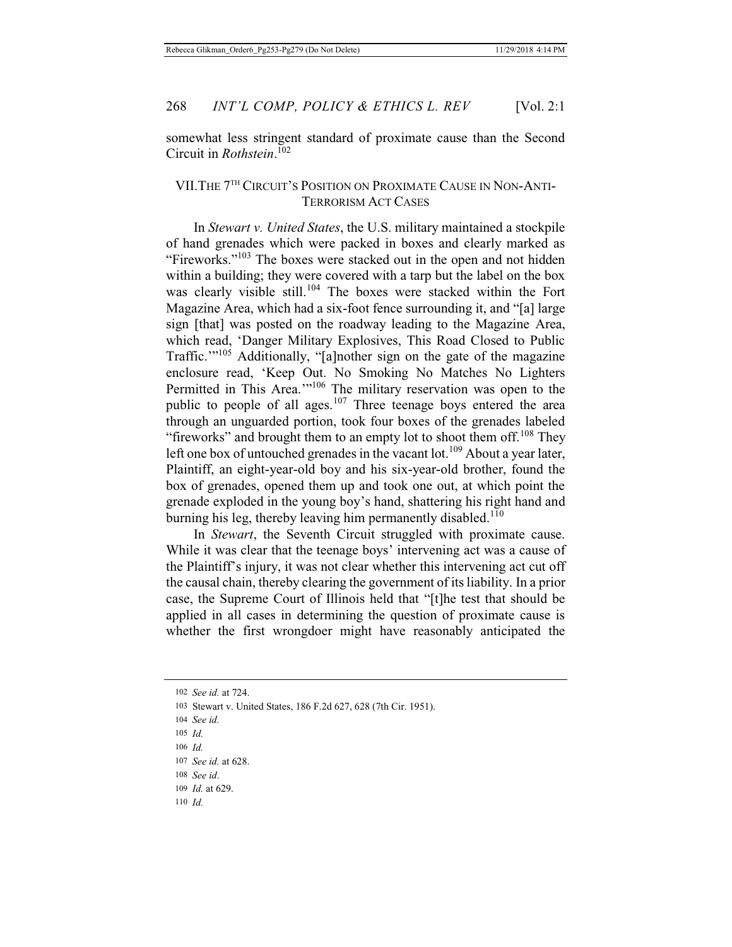somewhat less stringent standard of proximate cause than the Second Circuit in *Rothstein*. 102

## VII.THE 7TH CIRCUIT'S POSITION ON PROXIMATE CAUSE IN NON-ANTI-TERRORISM ACT CASES

In *Stewart v. United States*, the U.S. military maintained a stockpile of hand grenades which were packed in boxes and clearly marked as "Fireworks."<sup>103</sup> The boxes were stacked out in the open and not hidden within a building; they were covered with a tarp but the label on the box was clearly visible still.<sup>104</sup> The boxes were stacked within the Fort Magazine Area, which had a six-foot fence surrounding it, and "[a] large sign [that] was posted on the roadway leading to the Magazine Area, which read, 'Danger Military Explosives, This Road Closed to Public Traffic."<sup>105</sup> Additionally, "[a]nother sign on the gate of the magazine enclosure read, 'Keep Out. No Smoking No Matches No Lighters Permitted in This Area.'"106 The military reservation was open to the public to people of all ages.<sup>107</sup> Three teenage boys entered the area through an unguarded portion, took four boxes of the grenades labeled "fireworks" and brought them to an empty lot to shoot them off.<sup>108</sup> They left one box of untouched grenades in the vacant lot.<sup>109</sup> About a year later, Plaintiff, an eight-year-old boy and his six-year-old brother, found the box of grenades, opened them up and took one out, at which point the grenade exploded in the young boy's hand, shattering his right hand and burning his leg, thereby leaving him permanently disabled.<sup>110</sup>

In *Stewart*, the Seventh Circuit struggled with proximate cause. While it was clear that the teenage boys' intervening act was a cause of the Plaintiff's injury, it was not clear whether this intervening act cut off the causal chain, thereby clearing the government of its liability. In a prior case, the Supreme Court of Illinois held that "[t]he test that should be applied in all cases in determining the question of proximate cause is whether the first wrongdoer might have reasonably anticipated the

110 *Id.*

<sup>102</sup> *See id.* at 724.

<sup>103</sup> Stewart v. United States, 186 F.2d 627, 628 (7th Cir. 1951).

<sup>104</sup> *See id.*

<sup>105</sup> *Id.*

<sup>106</sup> *Id.*

<sup>107</sup> *See id.* at 628.

<sup>108</sup> *See id*.

<sup>109</sup> *Id.* at 629.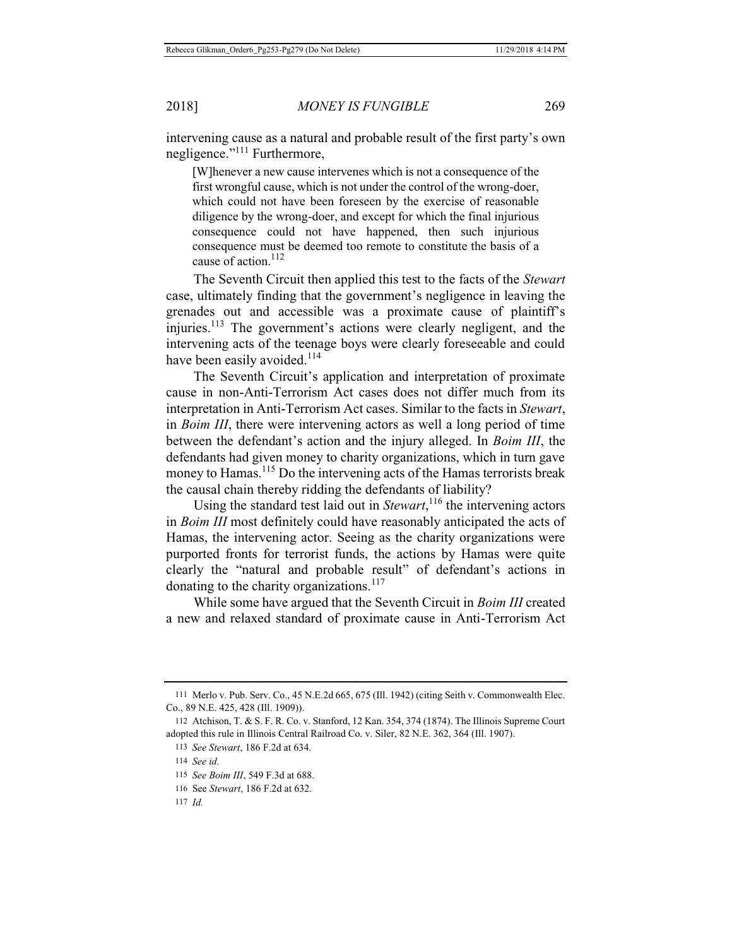intervening cause as a natural and probable result of the first party's own negligence."111 Furthermore,

[W]henever a new cause intervenes which is not a consequence of the first wrongful cause, which is not under the control of the wrong-doer, which could not have been foreseen by the exercise of reasonable diligence by the wrong-doer, and except for which the final injurious consequence could not have happened, then such injurious consequence must be deemed too remote to constitute the basis of a cause of action. $112$ 

The Seventh Circuit then applied this test to the facts of the *Stewart* case, ultimately finding that the government's negligence in leaving the grenades out and accessible was a proximate cause of plaintiff's injuries.113 The government's actions were clearly negligent, and the intervening acts of the teenage boys were clearly foreseeable and could have been easily avoided.<sup>114</sup>

The Seventh Circuit's application and interpretation of proximate cause in non-Anti-Terrorism Act cases does not differ much from its interpretation in Anti-Terrorism Act cases. Similar to the facts in *Stewart*, in *Boim III*, there were intervening actors as well a long period of time between the defendant's action and the injury alleged. In *Boim III*, the defendants had given money to charity organizations, which in turn gave money to Hamas.<sup>115</sup> Do the intervening acts of the Hamas terrorists break the causal chain thereby ridding the defendants of liability?

Using the standard test laid out in *Stewart*, 116 the intervening actors in *Boim III* most definitely could have reasonably anticipated the acts of Hamas, the intervening actor. Seeing as the charity organizations were purported fronts for terrorist funds, the actions by Hamas were quite clearly the "natural and probable result" of defendant's actions in donating to the charity organizations.<sup>117</sup>

While some have argued that the Seventh Circuit in *Boim III* created a new and relaxed standard of proximate cause in Anti-Terrorism Act

<sup>111</sup> Merlo v. Pub. Serv. Co., 45 N.E.2d 665, 675 (Ill. 1942) (citing Seith v. Commonwealth Elec. Co., 89 N.E. 425, 428 (Ill. 1909)).

<sup>112</sup> Atchison, T. & S. F. R. Co. v. Stanford, 12 Kan. 354, 374 (1874). The Illinois Supreme Court adopted this rule in Illinois Central Railroad Co. v. Siler, 82 N.E. 362, 364 (Ill. 1907).

<sup>113</sup> *See Stewart*, 186 F.2d at 634.

<sup>114</sup> *See id.*

<sup>115</sup> *See Boim III*, 549 F.3d at 688.

<sup>116</sup> See *Stewart*, 186 F.2d at 632.

<sup>117</sup> *Id.*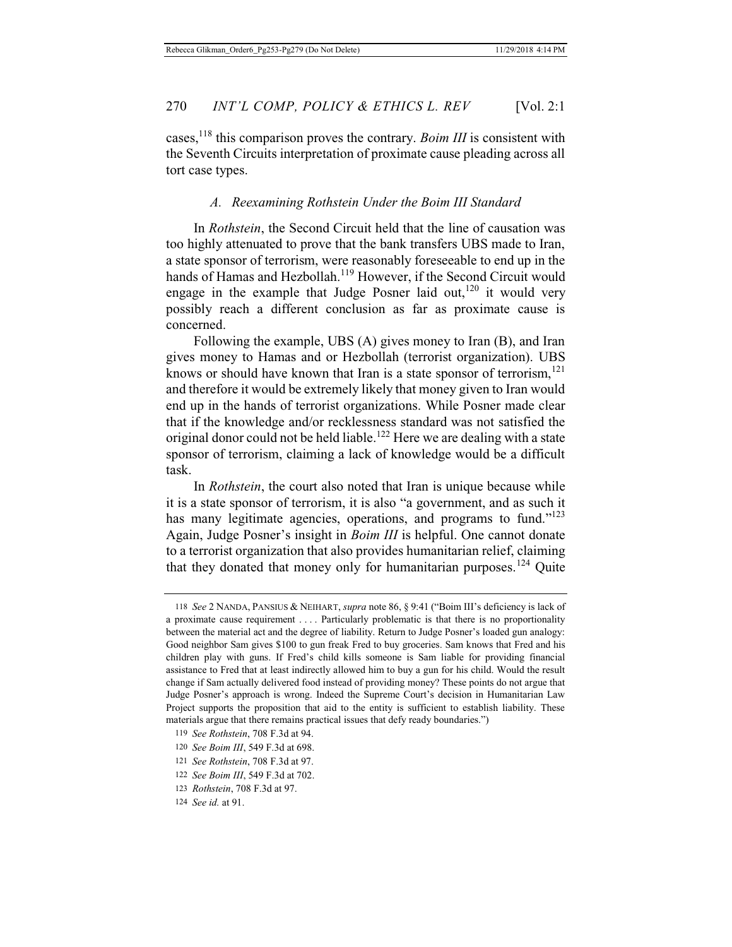cases.<sup>118</sup> this comparison proves the contrary. *Boim III* is consistent with the Seventh Circuits interpretation of proximate cause pleading across all tort case types.

#### *A. Reexamining Rothstein Under the Boim III Standard*

In *Rothstein*, the Second Circuit held that the line of causation was too highly attenuated to prove that the bank transfers UBS made to Iran, a state sponsor of terrorism, were reasonably foreseeable to end up in the hands of Hamas and Hezbollah.<sup>119</sup> However, if the Second Circuit would engage in the example that Judge Posner laid out,  $120$  it would very possibly reach a different conclusion as far as proximate cause is concerned.

Following the example, UBS (A) gives money to Iran (B), and Iran gives money to Hamas and or Hezbollah (terrorist organization). UBS knows or should have known that Iran is a state sponsor of terrorism,<sup>121</sup> and therefore it would be extremely likely that money given to Iran would end up in the hands of terrorist organizations. While Posner made clear that if the knowledge and/or recklessness standard was not satisfied the original donor could not be held liable.<sup>122</sup> Here we are dealing with a state sponsor of terrorism, claiming a lack of knowledge would be a difficult task.

In *Rothstein*, the court also noted that Iran is unique because while it is a state sponsor of terrorism, it is also "a government, and as such it has many legitimate agencies, operations, and programs to fund."<sup>123</sup> Again, Judge Posner's insight in *Boim III* is helpful. One cannot donate to a terrorist organization that also provides humanitarian relief, claiming that they donated that money only for humanitarian purposes.<sup>124</sup> Quite

<sup>118</sup> *See* 2 NANDA, PANSIUS & NEIHART, *supra* note 86, § 9:41 ("Boim III's deficiency is lack of a proximate cause requirement . . . . Particularly problematic is that there is no proportionality between the material act and the degree of liability. Return to Judge Posner's loaded gun analogy: Good neighbor Sam gives \$100 to gun freak Fred to buy groceries. Sam knows that Fred and his children play with guns. If Fred's child kills someone is Sam liable for providing financial assistance to Fred that at least indirectly allowed him to buy a gun for his child. Would the result change if Sam actually delivered food instead of providing money? These points do not argue that Judge Posner's approach is wrong. Indeed the Supreme Court's decision in Humanitarian Law Project supports the proposition that aid to the entity is sufficient to establish liability. These materials argue that there remains practical issues that defy ready boundaries.")

<sup>119</sup> *See Rothstein*, 708 F.3d at 94.

<sup>120</sup> *See Boim III*, 549 F.3d at 698.

<sup>121</sup> *See Rothstein*, 708 F.3d at 97.

<sup>122</sup> *See Boim III*, 549 F.3d at 702.

<sup>123</sup> *Rothstein*, 708 F.3d at 97.

<sup>124</sup> *See id.* at 91.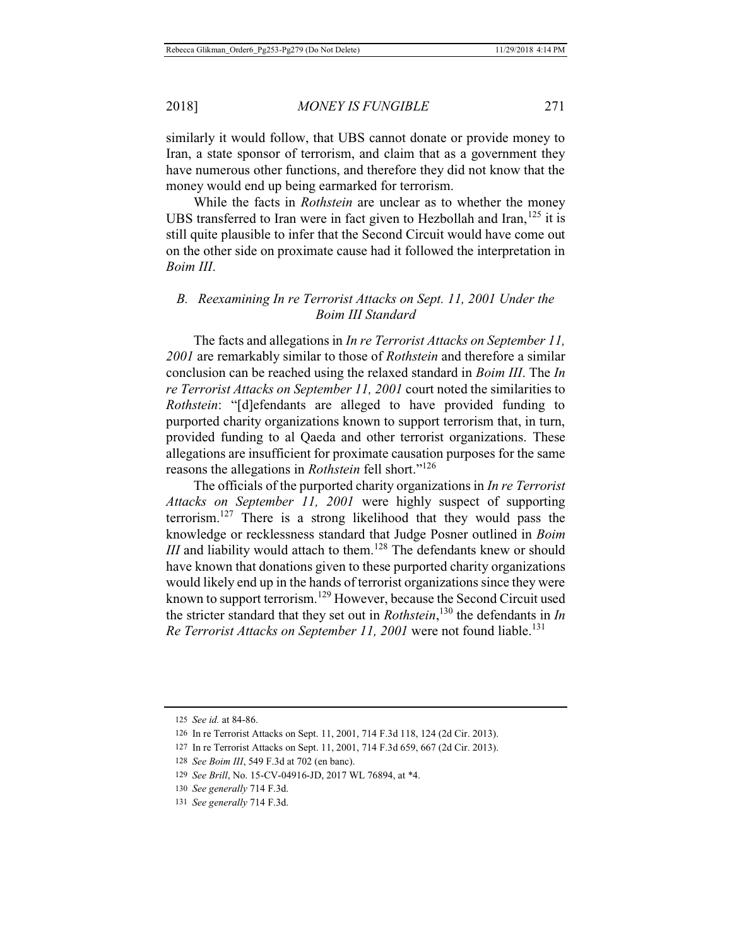similarly it would follow, that UBS cannot donate or provide money to Iran, a state sponsor of terrorism, and claim that as a government they have numerous other functions, and therefore they did not know that the money would end up being earmarked for terrorism.

While the facts in *Rothstein* are unclear as to whether the money UBS transferred to Iran were in fact given to Hezbollah and Iran, $125$  it is still quite plausible to infer that the Second Circuit would have come out on the other side on proximate cause had it followed the interpretation in *Boim III*.

### *B. Reexamining In re Terrorist Attacks on Sept. 11, 2001 Under the Boim III Standard*

The facts and allegations in *In re Terrorist Attacks on September 11, 2001* are remarkably similar to those of *Rothstein* and therefore a similar conclusion can be reached using the relaxed standard in *Boim III*. The *In re Terrorist Attacks on September 11, 2001* court noted the similarities to *Rothstein*: "[d]efendants are alleged to have provided funding to purported charity organizations known to support terrorism that, in turn, provided funding to al Qaeda and other terrorist organizations. These allegations are insufficient for proximate causation purposes for the same reasons the allegations in *Rothstein* fell short."<sup>126</sup>

The officials of the purported charity organizations in *In re Terrorist Attacks on September 11, 2001* were highly suspect of supporting terrorism.127 There is a strong likelihood that they would pass the knowledge or recklessness standard that Judge Posner outlined in *Boim III* and liability would attach to them.<sup>128</sup> The defendants knew or should have known that donations given to these purported charity organizations would likely end up in the hands of terrorist organizations since they were known to support terrorism.<sup>129</sup> However, because the Second Circuit used the stricter standard that they set out in *Rothstein*, 130 the defendants in *In Re Terrorist Attacks on September 11, 2001* were not found liable.<sup>131</sup>

<sup>125</sup> *See id.* at 84-86.

<sup>126</sup> In re Terrorist Attacks on Sept. 11, 2001, 714 F.3d 118, 124 (2d Cir. 2013).

<sup>127</sup> In re Terrorist Attacks on Sept. 11, 2001, 714 F.3d 659, 667 (2d Cir. 2013).

<sup>128</sup> *See Boim III*, 549 F.3d at 702 (en banc).

<sup>129</sup> *See Brill*, No. 15-CV-04916-JD, 2017 WL 76894, at \*4.

<sup>130</sup> *See generally* 714 F.3d.

<sup>131</sup> *See generally* 714 F.3d.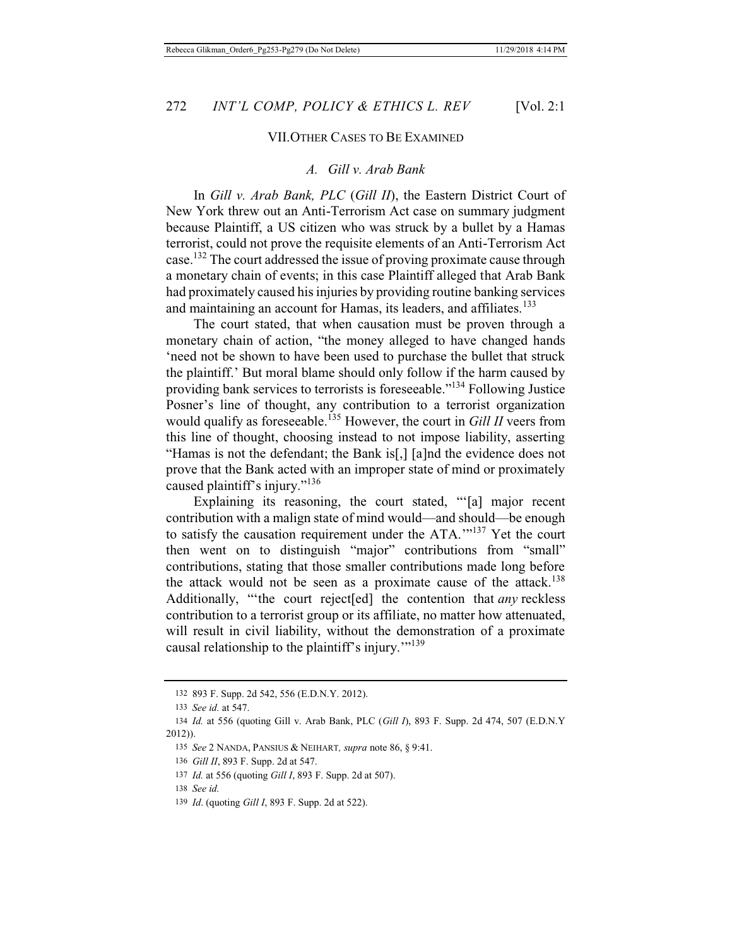#### VII.OTHER CASES TO BE EXAMINED

### *A. Gill v. Arab Bank*

In *Gill v. Arab Bank, PLC* (*Gill II*), the Eastern District Court of New York threw out an Anti-Terrorism Act case on summary judgment because Plaintiff, a US citizen who was struck by a bullet by a Hamas terrorist, could not prove the requisite elements of an Anti-Terrorism Act case.132 The court addressed the issue of proving proximate cause through a monetary chain of events; in this case Plaintiff alleged that Arab Bank had proximately caused his injuries by providing routine banking services and maintaining an account for Hamas, its leaders, and affiliates.<sup>133</sup>

The court stated, that when causation must be proven through a monetary chain of action, "the money alleged to have changed hands 'need not be shown to have been used to purchase the bullet that struck the plaintiff.' But moral blame should only follow if the harm caused by providing bank services to terrorists is foreseeable."134 Following Justice Posner's line of thought, any contribution to a terrorist organization would qualify as foreseeable.135 However, the court in *Gill II* veers from this line of thought, choosing instead to not impose liability, asserting "Hamas is not the defendant; the Bank is[,] [a]nd the evidence does not prove that the Bank acted with an improper state of mind or proximately caused plaintiff's injury."<sup>136</sup>

Explaining its reasoning, the court stated, "'[a] major recent contribution with a malign state of mind would—and should—be enough to satisfy the causation requirement under the ATA.'"137 Yet the court then went on to distinguish "major" contributions from "small" contributions, stating that those smaller contributions made long before the attack would not be seen as a proximate cause of the attack.<sup>138</sup> Additionally, "'the court reject[ed] the contention that *any* reckless contribution to a terrorist group or its affiliate, no matter how attenuated, will result in civil liability, without the demonstration of a proximate causal relationship to the plaintiff's injury.'"139

<sup>132 893</sup> F. Supp. 2d 542, 556 (E.D.N.Y. 2012).

<sup>133</sup> *See id.* at 547.

<sup>134</sup> *Id.* at 556 (quoting Gill v. Arab Bank, PLC (*Gill I*), 893 F. Supp. 2d 474, 507 (E.D.N.Y 2012)).

<sup>135</sup> *See* 2 NANDA, PANSIUS & NEIHART*, supra* note 86, § 9:41.

<sup>136</sup> *Gill II*, 893 F. Supp. 2d at 547.

<sup>137</sup> *Id.* at 556 (quoting *Gill I*, 893 F. Supp. 2d at 507).

<sup>138</sup> *See id.*

<sup>139</sup> *Id*. (quoting *Gill I*, 893 F. Supp. 2d at 522).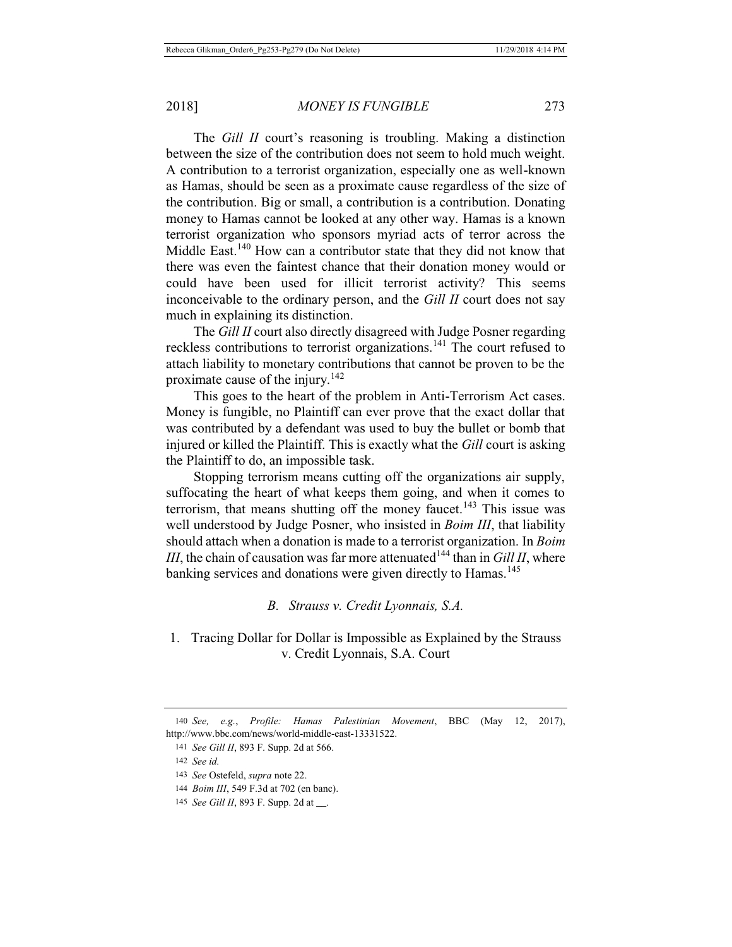The *Gill II* court's reasoning is troubling. Making a distinction between the size of the contribution does not seem to hold much weight. A contribution to a terrorist organization, especially one as well-known as Hamas, should be seen as a proximate cause regardless of the size of the contribution. Big or small, a contribution is a contribution. Donating money to Hamas cannot be looked at any other way. Hamas is a known terrorist organization who sponsors myriad acts of terror across the Middle East.<sup>140</sup> How can a contributor state that they did not know that there was even the faintest chance that their donation money would or could have been used for illicit terrorist activity? This seems inconceivable to the ordinary person, and the *Gill II* court does not say much in explaining its distinction.

The *Gill II* court also directly disagreed with Judge Posner regarding reckless contributions to terrorist organizations.141 The court refused to attach liability to monetary contributions that cannot be proven to be the proximate cause of the injury.<sup>142</sup>

This goes to the heart of the problem in Anti-Terrorism Act cases. Money is fungible, no Plaintiff can ever prove that the exact dollar that was contributed by a defendant was used to buy the bullet or bomb that injured or killed the Plaintiff. This is exactly what the *Gill* court is asking the Plaintiff to do, an impossible task.

Stopping terrorism means cutting off the organizations air supply, suffocating the heart of what keeps them going, and when it comes to terrorism, that means shutting off the money faucet.<sup>143</sup> This issue was well understood by Judge Posner, who insisted in *Boim III*, that liability should attach when a donation is made to a terrorist organization. In *Boim III*, the chain of causation was far more attenuated<sup>144</sup> than in *Gill II*, where banking services and donations were given directly to Hamas.<sup>145</sup>

*B. Strauss v. Credit Lyonnais, S.A.* 

## 1. Tracing Dollar for Dollar is Impossible as Explained by the Strauss v. Credit Lyonnais, S.A. Court

<sup>140</sup> *See, e.g.*, *Profile: Hamas Palestinian Movement*, BBC (May 12, 2017), http://www.bbc.com/news/world-middle-east-13331522.

<sup>141</sup> *See Gill II*, 893 F. Supp. 2d at 566.

<sup>142</sup> *See id.*

<sup>143</sup> *See* Ostefeld, *supra* note 22.

<sup>144</sup> *Boim III*, 549 F.3d at 702 (en banc).

<sup>145</sup> *See Gill II*, 893 F. Supp. 2d at \_\_.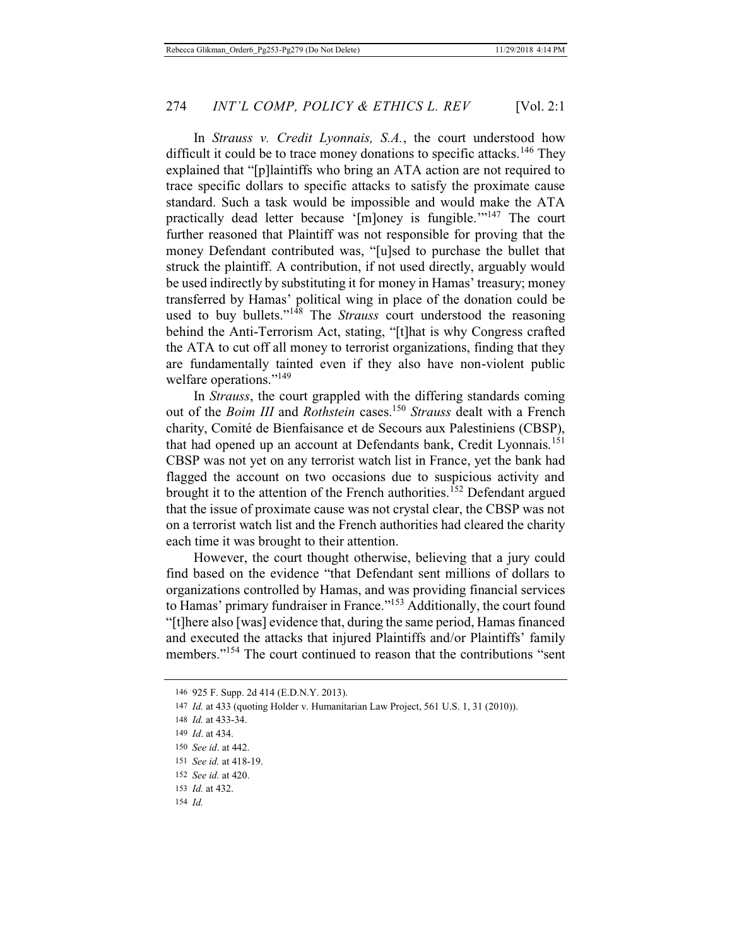In *Strauss v. Credit Lyonnais, S.A.*, the court understood how difficult it could be to trace money donations to specific attacks.<sup>146</sup> They explained that "[p]laintiffs who bring an ATA action are not required to trace specific dollars to specific attacks to satisfy the proximate cause standard. Such a task would be impossible and would make the ATA practically dead letter because '[m]oney is fungible."<sup>147</sup> The court further reasoned that Plaintiff was not responsible for proving that the money Defendant contributed was, "[u]sed to purchase the bullet that struck the plaintiff. A contribution, if not used directly, arguably would be used indirectly by substituting it for money in Hamas' treasury; money transferred by Hamas' political wing in place of the donation could be used to buy bullets."148 The *Strauss* court understood the reasoning behind the Anti-Terrorism Act, stating, "[t]hat is why Congress crafted the ATA to cut off all money to terrorist organizations, finding that they are fundamentally tainted even if they also have non-violent public welfare operations."<sup>149</sup>

In *Strauss*, the court grappled with the differing standards coming out of the *Boim III* and *Rothstein* cases.<sup>150</sup> *Strauss* dealt with a French charity, Comité de Bienfaisance et de Secours aux Palestiniens (CBSP), that had opened up an account at Defendants bank, Credit Lyonnais.<sup>151</sup> CBSP was not yet on any terrorist watch list in France, yet the bank had flagged the account on two occasions due to suspicious activity and brought it to the attention of the French authorities.<sup>152</sup> Defendant argued that the issue of proximate cause was not crystal clear, the CBSP was not on a terrorist watch list and the French authorities had cleared the charity each time it was brought to their attention.

However, the court thought otherwise, believing that a jury could find based on the evidence "that Defendant sent millions of dollars to organizations controlled by Hamas, and was providing financial services to Hamas' primary fundraiser in France."153 Additionally, the court found "[t]here also [was] evidence that, during the same period, Hamas financed and executed the attacks that injured Plaintiffs and/or Plaintiffs' family members."<sup>154</sup> The court continued to reason that the contributions "sent

<sup>146 925</sup> F. Supp. 2d 414 (E.D.N.Y. 2013).

<sup>147</sup> *Id.* at 433 (quoting Holder v. Humanitarian Law Project, 561 U.S. 1, 31 (2010)).

<sup>148</sup> *Id.* at 433-34.

<sup>149</sup> *Id*. at 434.

<sup>150</sup> *See id*. at 442.

<sup>151</sup> *See id.* at 418-19.

<sup>152</sup> *See id.* at 420.

<sup>153</sup> *Id.* at 432.

<sup>154</sup> *Id.*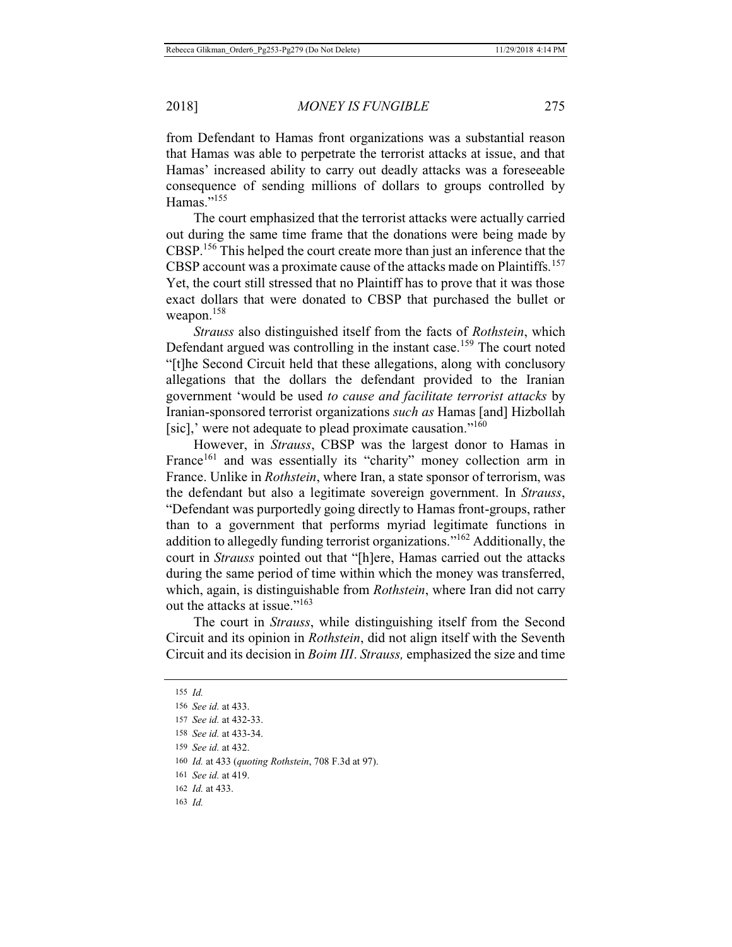from Defendant to Hamas front organizations was a substantial reason that Hamas was able to perpetrate the terrorist attacks at issue, and that Hamas' increased ability to carry out deadly attacks was a foreseeable consequence of sending millions of dollars to groups controlled by Hamas."<sup>155</sup>

The court emphasized that the terrorist attacks were actually carried out during the same time frame that the donations were being made by CBSP.156 This helped the court create more than just an inference that the CBSP account was a proximate cause of the attacks made on Plaintiffs.<sup>157</sup> Yet, the court still stressed that no Plaintiff has to prove that it was those exact dollars that were donated to CBSP that purchased the bullet or weapon.<sup>158</sup>

*Strauss* also distinguished itself from the facts of *Rothstein*, which Defendant argued was controlling in the instant case.<sup>159</sup> The court noted "[t]he Second Circuit held that these allegations, along with conclusory allegations that the dollars the defendant provided to the Iranian government 'would be used *to cause and facilitate terrorist attacks* by Iranian-sponsored terrorist organizations *such as* Hamas [and] Hizbollah [sic],' were not adequate to plead proximate causation."<sup>160</sup>

However, in *Strauss*, CBSP was the largest donor to Hamas in France<sup>161</sup> and was essentially its "charity" money collection arm in France. Unlike in *Rothstein*, where Iran, a state sponsor of terrorism, was the defendant but also a legitimate sovereign government. In *Strauss*, "Defendant was purportedly going directly to Hamas front-groups, rather than to a government that performs myriad legitimate functions in addition to allegedly funding terrorist organizations."162 Additionally, the court in *Strauss* pointed out that "[h]ere, Hamas carried out the attacks during the same period of time within which the money was transferred, which, again, is distinguishable from *Rothstein*, where Iran did not carry out the attacks at issue."<sup>163</sup>

The court in *Strauss*, while distinguishing itself from the Second Circuit and its opinion in *Rothstein*, did not align itself with the Seventh Circuit and its decision in *Boim III*. *Strauss,* emphasized the size and time

<sup>155</sup> *Id.*

<sup>156</sup> *See id.* at 433.

<sup>157</sup> *See id.* at 432-33.

<sup>158</sup> *See id.* at 433-34.

<sup>159</sup> *See id.* at 432.

<sup>160</sup> *Id.* at 433 (*quoting Rothstein*, 708 F.3d at 97).

<sup>161</sup> *See id.* at 419.

<sup>162</sup> *Id.* at 433.

<sup>163</sup> *Id.*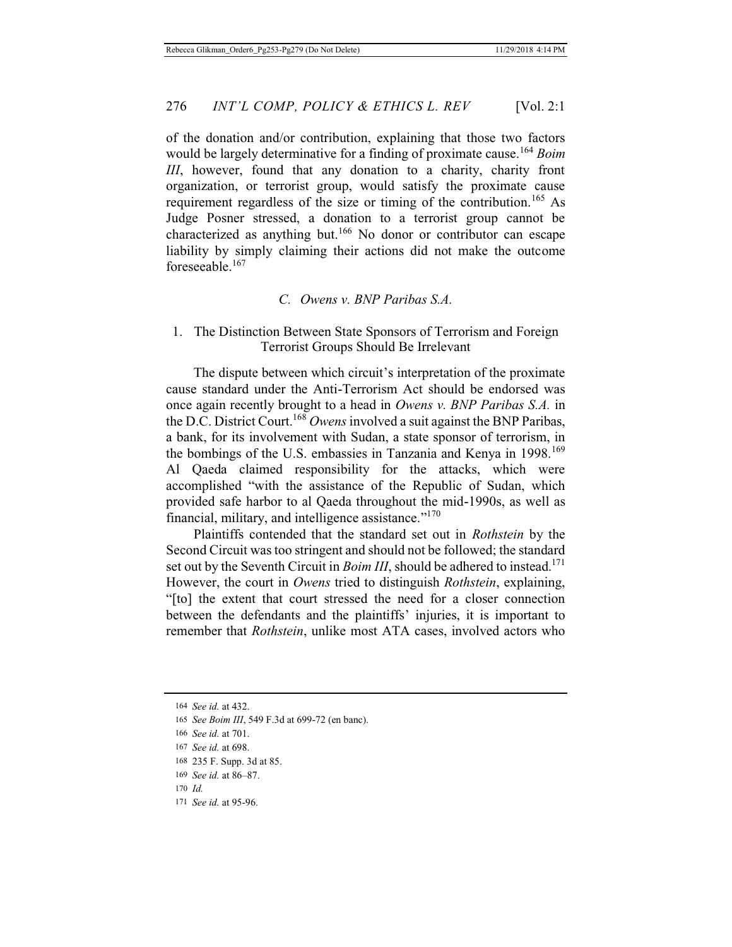of the donation and/or contribution, explaining that those two factors would be largely determinative for a finding of proximate cause.<sup>164</sup> *Boim III*, however, found that any donation to a charity, charity front organization, or terrorist group, would satisfy the proximate cause requirement regardless of the size or timing of the contribution.<sup>165</sup> As Judge Posner stressed, a donation to a terrorist group cannot be characterized as anything but.<sup>166</sup> No donor or contributor can escape liability by simply claiming their actions did not make the outcome foreseeable.167

### *C. Owens v. BNP Paribas S.A.*

### 1. The Distinction Between State Sponsors of Terrorism and Foreign Terrorist Groups Should Be Irrelevant

The dispute between which circuit's interpretation of the proximate cause standard under the Anti-Terrorism Act should be endorsed was once again recently brought to a head in *Owens v. BNP Paribas S.A.* in the D.C. District Court.168 *Owens* involved a suit against the BNP Paribas, a bank, for its involvement with Sudan, a state sponsor of terrorism, in the bombings of the U.S. embassies in Tanzania and Kenya in 1998.<sup>169</sup> Al Qaeda claimed responsibility for the attacks, which were accomplished "with the assistance of the Republic of Sudan, which provided safe harbor to al Qaeda throughout the mid-1990s, as well as financial, military, and intelligence assistance."<sup>170</sup>

Plaintiffs contended that the standard set out in *Rothstein* by the Second Circuit was too stringent and should not be followed; the standard set out by the Seventh Circuit in *Boim III*, should be adhered to instead.<sup>171</sup> However, the court in *Owens* tried to distinguish *Rothstein*, explaining, "[to] the extent that court stressed the need for a closer connection between the defendants and the plaintiffs' injuries, it is important to remember that *Rothstein*, unlike most ATA cases, involved actors who

- 168 235 F. Supp. 3d at 85.
- 169 *See id.* at 86–87.
- 170 *Id.*
- 171 *See id.* at 95-96.

<sup>164</sup> *See id.* at 432.

<sup>165</sup> *See Boim III*, 549 F.3d at 699-72 (en banc).

<sup>166</sup> *See id.* at 701.

<sup>167</sup> *See id.* at 698.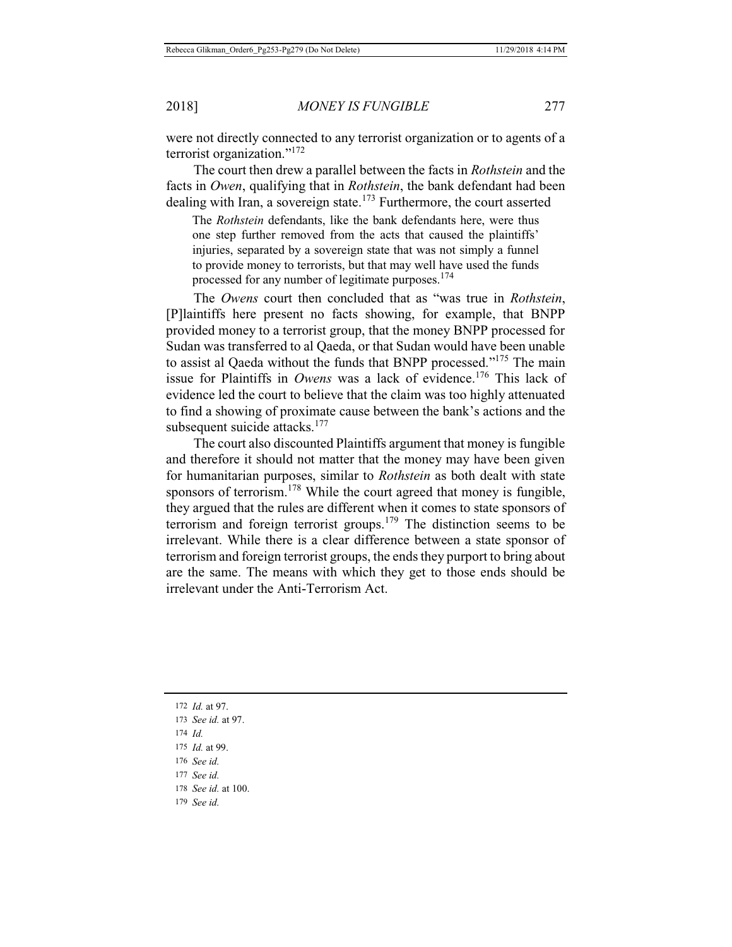were not directly connected to any terrorist organization or to agents of a terrorist organization."<sup>172</sup>

The court then drew a parallel between the facts in *Rothstein* and the facts in *Owen*, qualifying that in *Rothstein*, the bank defendant had been dealing with Iran, a sovereign state.<sup>173</sup> Furthermore, the court asserted

The *Rothstein* defendants, like the bank defendants here, were thus one step further removed from the acts that caused the plaintiffs' injuries, separated by a sovereign state that was not simply a funnel to provide money to terrorists, but that may well have used the funds processed for any number of legitimate purposes.<sup>174</sup>

The *Owens* court then concluded that as "was true in *Rothstein*, [P]laintiffs here present no facts showing, for example, that BNPP provided money to a terrorist group, that the money BNPP processed for Sudan was transferred to al Qaeda, or that Sudan would have been unable to assist al Qaeda without the funds that BNPP processed."175 The main issue for Plaintiffs in *Owens* was a lack of evidence.176 This lack of evidence led the court to believe that the claim was too highly attenuated to find a showing of proximate cause between the bank's actions and the subsequent suicide attacks. $177$ 

The court also discounted Plaintiffs argument that money is fungible and therefore it should not matter that the money may have been given for humanitarian purposes, similar to *Rothstein* as both dealt with state sponsors of terrorism.<sup>178</sup> While the court agreed that money is fungible, they argued that the rules are different when it comes to state sponsors of terrorism and foreign terrorist groups.<sup>179</sup> The distinction seems to be irrelevant. While there is a clear difference between a state sponsor of terrorism and foreign terrorist groups, the ends they purport to bring about are the same. The means with which they get to those ends should be irrelevant under the Anti-Terrorism Act.

- 174 *Id.*
- 175 *Id.* at 99.
- 176 *See id.*
- 177 *See id.*
- 178 *See id.* at 100.
- 179 *See id.*

<sup>172</sup> *Id.* at 97.

<sup>173</sup> *See id.* at 97.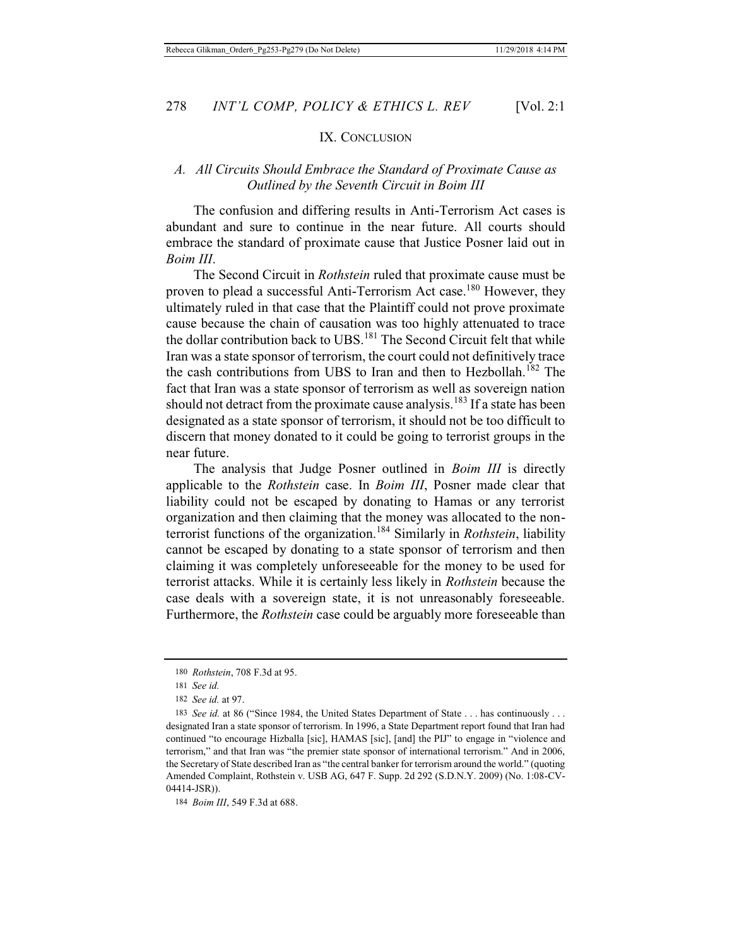#### IX. CONCLUSION

### *A. All Circuits Should Embrace the Standard of Proximate Cause as Outlined by the Seventh Circuit in Boim III*

The confusion and differing results in Anti-Terrorism Act cases is abundant and sure to continue in the near future. All courts should embrace the standard of proximate cause that Justice Posner laid out in *Boim III*.

The Second Circuit in *Rothstein* ruled that proximate cause must be proven to plead a successful Anti-Terrorism Act case.<sup>180</sup> However, they ultimately ruled in that case that the Plaintiff could not prove proximate cause because the chain of causation was too highly attenuated to trace the dollar contribution back to UBS.181 The Second Circuit felt that while Iran was a state sponsor of terrorism, the court could not definitively trace the cash contributions from UBS to Iran and then to Hezbollah.<sup>182</sup> The fact that Iran was a state sponsor of terrorism as well as sovereign nation should not detract from the proximate cause analysis.<sup>183</sup> If a state has been designated as a state sponsor of terrorism, it should not be too difficult to discern that money donated to it could be going to terrorist groups in the near future.

The analysis that Judge Posner outlined in *Boim III* is directly applicable to the *Rothstein* case. In *Boim III*, Posner made clear that liability could not be escaped by donating to Hamas or any terrorist organization and then claiming that the money was allocated to the nonterrorist functions of the organization.184 Similarly in *Rothstein*, liability cannot be escaped by donating to a state sponsor of terrorism and then claiming it was completely unforeseeable for the money to be used for terrorist attacks. While it is certainly less likely in *Rothstein* because the case deals with a sovereign state, it is not unreasonably foreseeable. Furthermore, the *Rothstein* case could be arguably more foreseeable than

<sup>180</sup> *Rothstein*, 708 F.3d at 95.

<sup>181</sup> *See id.*

<sup>182</sup> *See id.* at 97.

<sup>183</sup> *See id.* at 86 ("Since 1984, the United States Department of State . . . has continuously . . . designated Iran a state sponsor of terrorism. In 1996, a State Department report found that Iran had continued "to encourage Hizballa [sic], HAMAS [sic], [and] the PIJ" to engage in "violence and terrorism," and that Iran was "the premier state sponsor of international terrorism." And in 2006, the Secretary of State described Iran as "the central banker for terrorism around the world." (quoting Amended Complaint, Rothstein v. USB AG, 647 F. Supp. 2d 292 (S.D.N.Y. 2009) (No. 1:08-CV-04414-JSR)).

<sup>184</sup> *Boim III*, 549 F.3d at 688.